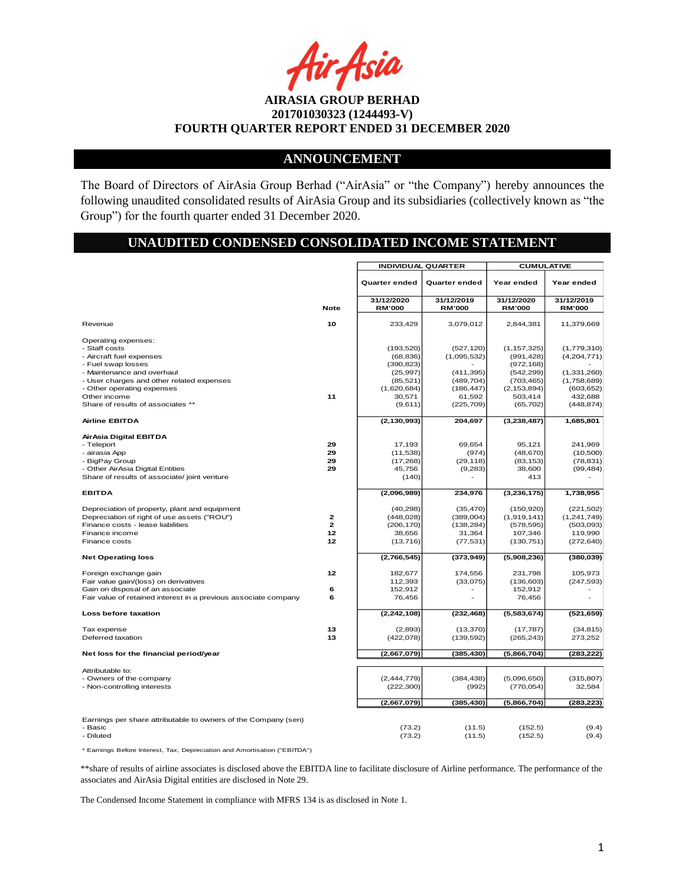ir Asia

### **ANNOUNCEMENT**

The Board of Directors of AirAsia Group Berhad ("AirAsia" or "the Company") hereby announces the following unaudited consolidated results of AirAsia Group and its subsidiaries (collectively known as "the Group") for the fourth quarter ended 31 December 2020.

# **UNAUDITED CONDENSED CONSOLIDATED INCOME STATEMENT**

|                                                                                                                                                                                                                                                      |                                            | <b>INDIVIDUAL QUARTER</b>                                                                           |                                                                                             | <b>CUMULATIVE</b>                                                                                              |                                                                                                 |
|------------------------------------------------------------------------------------------------------------------------------------------------------------------------------------------------------------------------------------------------------|--------------------------------------------|-----------------------------------------------------------------------------------------------------|---------------------------------------------------------------------------------------------|----------------------------------------------------------------------------------------------------------------|-------------------------------------------------------------------------------------------------|
|                                                                                                                                                                                                                                                      |                                            | Quarter ended                                                                                       | Quarter ended                                                                               | Year ended                                                                                                     | Year ended                                                                                      |
|                                                                                                                                                                                                                                                      |                                            | 31/12/2020                                                                                          | 31/12/2019                                                                                  | 31/12/2020                                                                                                     | 31/12/2019                                                                                      |
|                                                                                                                                                                                                                                                      | <b>Note</b>                                | <b>RM'000</b>                                                                                       | <b>RM'000</b>                                                                               | <b>RM'000</b>                                                                                                  | <b>RM'000</b>                                                                                   |
| Revenue                                                                                                                                                                                                                                              | 10                                         | 233,429                                                                                             | 3,079,012                                                                                   | 2,844,381                                                                                                      | 11,379,669                                                                                      |
| Operating expenses:<br>- Staff costs<br>- Aircraft fuel expenses<br>- Fuel swap losses<br>- Maintenance and overhaul<br>- User charges and other related expenses<br>- Other operating expenses<br>Other income<br>Share of results of associates ** | 11                                         | (193, 520)<br>(68, 836)<br>(390, 823)<br>(25, 997)<br>(85, 521)<br>(1,620,684)<br>30,571<br>(9,611) | (527, 120)<br>(1,095,532)<br>(411, 395)<br>(489, 704)<br>(186, 447)<br>61,592<br>(225, 709) | (1, 157, 325)<br>(991, 428)<br>(972, 168)<br>(542, 299)<br>(703, 465)<br>(2, 153, 894)<br>503,414<br>(65, 702) | (1,779,310)<br>(4,204,771)<br>(1,331,260)<br>(1,758,689)<br>(603, 652)<br>432,688<br>(448, 874) |
| <b>Airline EBITDA</b>                                                                                                                                                                                                                                |                                            | (2, 130, 993)                                                                                       | 204,697                                                                                     | (3,238,487)                                                                                                    | 1,685,801                                                                                       |
| AirAsia Digital EBITDA<br>- Teleport<br>- airasia App<br>- BigPay Group<br>- Other AirAsia Digital Entities<br>Share of results of associate/ joint venture                                                                                          | 29<br>29<br>29<br>29                       | 17,193<br>(11, 538)<br>(17, 268)<br>45,756<br>(140)                                                 | 69,654<br>(974)<br>(29, 118)<br>(9,283)                                                     | 95,121<br>(48, 670)<br>(83, 153)<br>38,600<br>413                                                              | 241,969<br>(10, 500)<br>(78, 831)<br>(99, 484)                                                  |
| <b>EBITDA</b>                                                                                                                                                                                                                                        |                                            | (2,096,989)                                                                                         | 234,976                                                                                     | (3, 236, 175)                                                                                                  | 1,738,955                                                                                       |
| Depreciation of property, plant and equipment<br>Depreciation of right of use assets ("ROU")<br>Finance costs - lease liabilities<br>Finance income<br>Finance costs                                                                                 | $\mathbf{2}$<br>$\overline{2}$<br>12<br>12 | (40, 298)<br>(448, 028)<br>(206, 170)<br>38,656<br>(13, 716)                                        | (35, 470)<br>(389,004)<br>(138, 284)<br>31,364<br>(77, 531)                                 | (150, 920)<br>(1,919,141)<br>(578, 595)<br>107,346<br>(130, 751)                                               | (221, 502)<br>(1,241,749)<br>(503,093)<br>119,990<br>(272, 640)                                 |
| <b>Net Operating loss</b>                                                                                                                                                                                                                            |                                            | (2,766,545)                                                                                         | (373, 949)                                                                                  | (5,908,236)                                                                                                    | (380, 039)                                                                                      |
| Foreign exchange gain<br>Fair value gain/(loss) on derivatives<br>Gain on disposal of an associate<br>Fair value of retained interest in a previous associate company                                                                                | 12<br>6<br>6                               | 182,677<br>112,393<br>152,912<br>76,456                                                             | 174,556<br>(33,075)                                                                         | 231,798<br>(136, 603)<br>152,912<br>76,456                                                                     | 105,973<br>(247, 593)                                                                           |
| Loss before taxation                                                                                                                                                                                                                                 |                                            | (2, 242, 108)                                                                                       | (232, 468)                                                                                  | (5,583,674)                                                                                                    | (521, 659)                                                                                      |
| Tax expense<br>Deferred taxation                                                                                                                                                                                                                     | 13<br>13                                   | (2,893)<br>(422, 078)                                                                               | (13, 370)<br>(139, 592)                                                                     | (17, 787)<br>(265, 243)                                                                                        | (34, 815)<br>273,252                                                                            |
| Net loss for the financial period/year                                                                                                                                                                                                               |                                            | (2,667,079)                                                                                         | (385, 430)                                                                                  | (5,866,704)                                                                                                    | (283, 222)                                                                                      |
| Attributable to:<br>- Owners of the company<br>- Non-controlling interests                                                                                                                                                                           |                                            | (2, 444, 779)<br>(222, 300)<br>(2,667,079)                                                          | (384, 438)<br>(992)<br>(385, 430)                                                           | (5,096,650)<br>(770, 054)<br>(5,866,704)                                                                       | (315, 807)<br>32,584<br>(283, 223)                                                              |
|                                                                                                                                                                                                                                                      |                                            |                                                                                                     |                                                                                             |                                                                                                                |                                                                                                 |
| Earnings per share attributable to owners of the Company (sen)<br>- Basic<br>- Diluted                                                                                                                                                               |                                            | (73.2)<br>(73.2)                                                                                    | (11.5)<br>(11.5)                                                                            | (152.5)<br>(152.5)                                                                                             | (9.4)<br>(9.4)                                                                                  |

\* Earnings Before Interest, Tax, Depreciation and Amortisation ("EBITDA")

\*\*share of results of airline associates is disclosed above the EBITDA line to facilitate disclosure of Airline performance. The performance of the associates and AirAsia Digital entities are disclosed in Note 29.

The Condensed Income Statement in compliance with MFRS 134 is as disclosed in Note 1.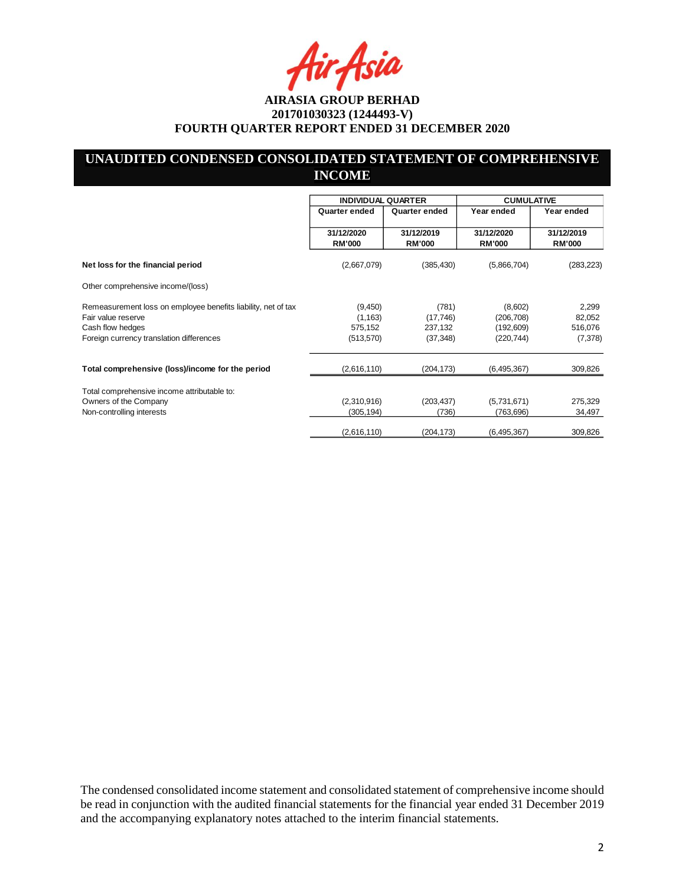•Asia

# **UNAUDITED CONDENSED CONSOLIDATED STATEMENT OF COMPREHENSIVE INCOME**

|                                                                                     |                             | <b>INDIVIDUAL QUARTER</b>   |                             | <b>CUMULATIVE</b>           |
|-------------------------------------------------------------------------------------|-----------------------------|-----------------------------|-----------------------------|-----------------------------|
|                                                                                     | Quarter ended               | Quarter ended               | Year ended                  | Year ended                  |
|                                                                                     | 31/12/2020<br><b>RM'000</b> | 31/12/2019<br><b>RM'000</b> | 31/12/2020<br><b>RM'000</b> | 31/12/2019<br><b>RM'000</b> |
| Net loss for the financial period                                                   | (2,667,079)                 | (385, 430)                  | (5,866,704)                 | (283, 223)                  |
| Other comprehensive income/(loss)                                                   |                             |                             |                             |                             |
| Remeasurement loss on employee benefits liability, net of tax<br>Fair value reserve | (9,450)<br>(1, 163)         | (781)<br>(17, 746)          | (8,602)<br>(206, 708)       | 2,299<br>82,052             |
| Cash flow hedges<br>Foreign currency translation differences                        | 575,152<br>(513, 570)       | 237,132<br>(37, 348)        | (192, 609)<br>(220, 744)    | 516,076<br>(7, 378)         |
| Total comprehensive (loss)/income for the period                                    | (2,616,110)                 | (204, 173)                  | (6,495,367)                 | 309,826                     |
| Total comprehensive income attributable to:                                         |                             |                             |                             |                             |
| Owners of the Company                                                               | (2,310,916)                 | (203, 437)                  | (5,731,671)                 | 275,329                     |
| Non-controlling interests                                                           | (305, 194)                  | (736)                       | (763, 696)                  | 34,497                      |
|                                                                                     | (2,616,110)                 | (204,173)                   | (6, 495, 367)               | 309,826                     |

The condensed consolidated income statement and consolidated statement of comprehensive income should be read in conjunction with the audited financial statements for the financial year ended 31 December 2019 and the accompanying explanatory notes attached to the interim financial statements.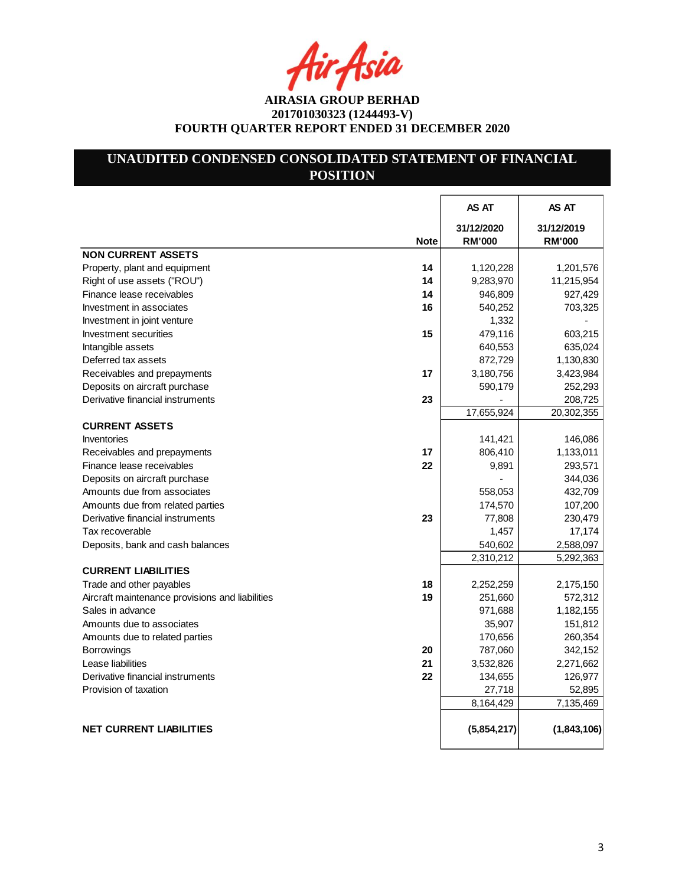4ir<sub>t</sub>Asia

# **UNAUDITED CONDENSED CONSOLIDATED STATEMENT OF FINANCIAL POSITION**

|                                                       | AS AT                       | AS AT                       |
|-------------------------------------------------------|-----------------------------|-----------------------------|
| <b>Note</b>                                           | 31/12/2020<br><b>RM'000</b> | 31/12/2019<br><b>RM'000</b> |
| <b>NON CURRENT ASSETS</b>                             |                             |                             |
| Property, plant and equipment<br>14                   | 1,120,228                   | 1,201,576                   |
| Right of use assets ("ROU")<br>14                     | 9,283,970                   | 11,215,954                  |
| Finance lease receivables<br>14                       | 946,809                     | 927,429                     |
| Investment in associates<br>16                        | 540,252                     | 703,325                     |
| Investment in joint venture                           | 1,332                       |                             |
| 15<br><b>Investment securities</b>                    | 479,116                     | 603,215                     |
| Intangible assets                                     | 640,553                     | 635,024                     |
| Deferred tax assets                                   | 872,729                     | 1,130,830                   |
| Receivables and prepayments<br>17                     | 3,180,756                   | 3,423,984                   |
| Deposits on aircraft purchase                         | 590,179                     | 252,293                     |
| 23<br>Derivative financial instruments                |                             | 208,725                     |
|                                                       | 17,655,924                  | 20,302,355                  |
| <b>CURRENT ASSETS</b>                                 |                             |                             |
| <b>Inventories</b>                                    | 141,421                     | 146,086                     |
| 17<br>Receivables and prepayments                     | 806,410                     | 1,133,011                   |
| Finance lease receivables<br>22                       | 9,891                       | 293,571                     |
| Deposits on aircraft purchase                         |                             | 344,036                     |
| Amounts due from associates                           | 558,053                     | 432,709                     |
| Amounts due from related parties                      | 174,570                     | 107,200                     |
| 23<br>Derivative financial instruments                | 77,808                      | 230,479                     |
| Tax recoverable                                       | 1,457                       | 17,174                      |
| Deposits, bank and cash balances                      | 540,602                     | 2,588,097                   |
|                                                       | 2,310,212                   | 5,292,363                   |
| <b>CURRENT LIABILITIES</b>                            |                             |                             |
| 18<br>Trade and other payables                        | 2,252,259                   | 2,175,150                   |
| 19<br>Aircraft maintenance provisions and liabilities | 251,660                     | 572,312                     |
| Sales in advance                                      | 971,688                     | 1,182,155                   |
| Amounts due to associates                             | 35,907                      | 151,812                     |
| Amounts due to related parties                        | 170,656                     | 260,354                     |
| Borrowings<br>20                                      | 787,060                     | 342,152                     |
| Lease liabilities<br>21                               | 3,532,826                   | 2,271,662                   |
| 22<br>Derivative financial instruments                | 134,655                     | 126,977                     |
| Provision of taxation                                 | 27,718                      | 52,895                      |
|                                                       | 8,164,429                   | 7,135,469                   |
|                                                       |                             |                             |
| <b>NET CURRENT LIABILITIES</b>                        | (5,854,217)                 | (1,843,106)                 |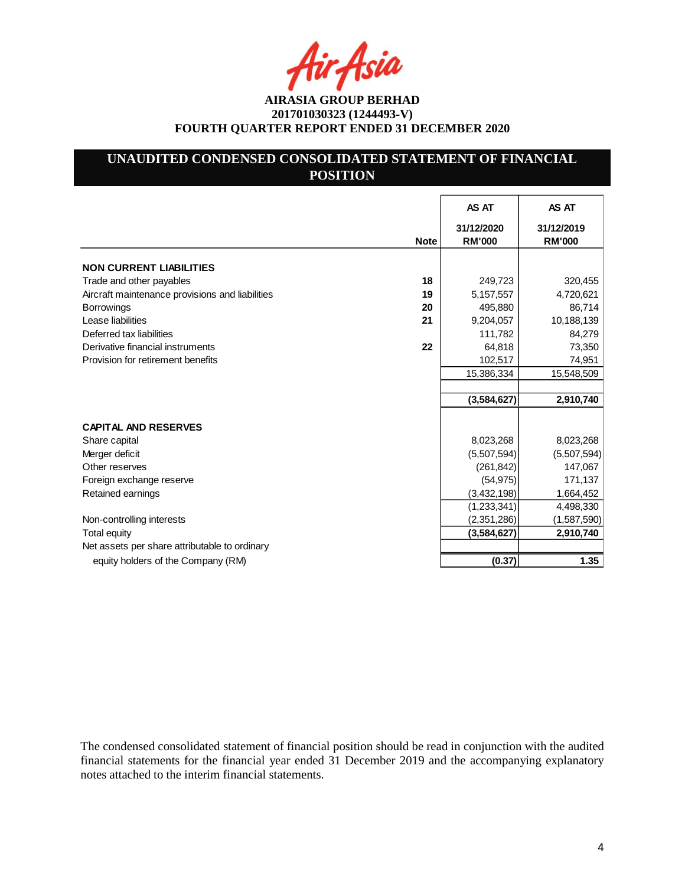Asia

# **UNAUDITED CONDENSED CONSOLIDATED STATEMENT OF FINANCIAL POSITION**

|                                                       | AS AT                       | AS AT                       |
|-------------------------------------------------------|-----------------------------|-----------------------------|
| <b>Note</b>                                           | 31/12/2020<br><b>RM'000</b> | 31/12/2019<br><b>RM'000</b> |
| <b>NON CURRENT LIABILITIES</b>                        |                             |                             |
| 18<br>Trade and other payables                        | 249,723                     | 320,455                     |
| Aircraft maintenance provisions and liabilities<br>19 | 5,157,557                   | 4,720,621                   |
| <b>Borrowings</b><br>20                               | 495,880                     | 86,714                      |
| Lease liabilities<br>21                               | 9,204,057                   | 10,188,139                  |
| Deferred tax liabilities                              | 111,782                     | 84,279                      |
| 22<br>Derivative financial instruments                | 64,818                      | 73,350                      |
| Provision for retirement benefits                     | 102,517                     | 74,951                      |
|                                                       | 15,386,334                  | 15,548,509                  |
|                                                       |                             |                             |
|                                                       | (3,584,627)                 | 2,910,740                   |
|                                                       |                             |                             |
| <b>CAPITAL AND RESERVES</b>                           |                             |                             |
| Share capital                                         | 8,023,268                   | 8,023,268                   |
| Merger deficit                                        | (5,507,594)                 | (5,507,594)                 |
| Other reserves                                        | (261, 842)                  | 147,067                     |
| Foreign exchange reserve                              | (54, 975)                   | 171,137                     |
| Retained earnings                                     | (3,432,198)                 | 1,664,452                   |
|                                                       | (1,233,341)                 | 4,498,330                   |
| Non-controlling interests                             | (2,351,286)                 | (1,587,590)                 |
| <b>Total equity</b>                                   | (3,584,627)                 | 2,910,740                   |
| Net assets per share attributable to ordinary         |                             |                             |
| equity holders of the Company (RM)                    | (0.37)                      | 1.35                        |

The condensed consolidated statement of financial position should be read in conjunction with the audited financial statements for the financial year ended 31 December 2019 and the accompanying explanatory notes attached to the interim financial statements.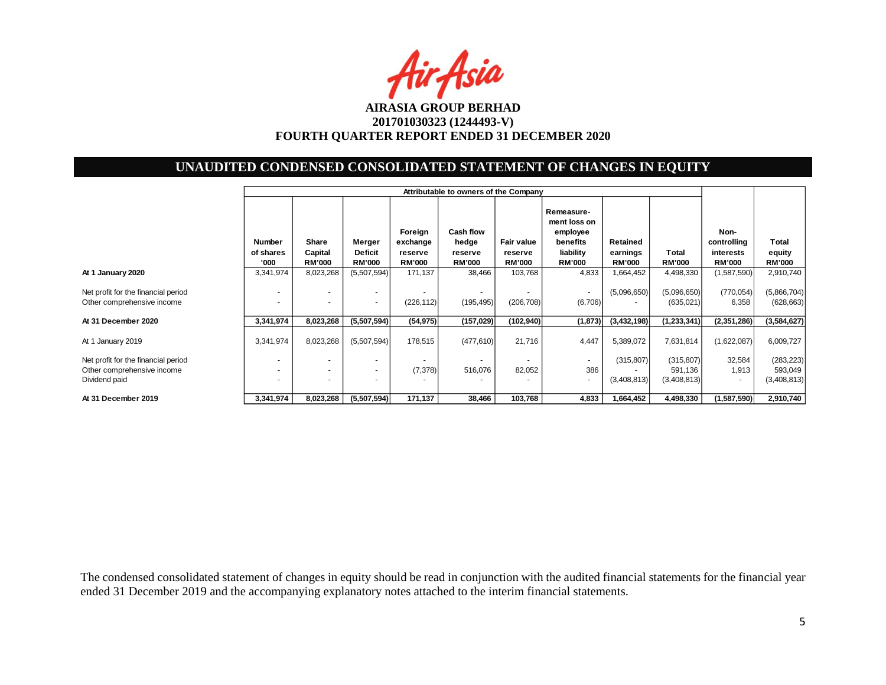

# **UNAUDITED CONDENSED CONSOLIDATED STATEMENT OF CHANGES IN EQUITY**

|                                                                                    | Attributable to owners of the Company                |                                   |                                           |                                                 |                                                |                                        |                                                                                  |                                       |                                      |                                                   |                                      |
|------------------------------------------------------------------------------------|------------------------------------------------------|-----------------------------------|-------------------------------------------|-------------------------------------------------|------------------------------------------------|----------------------------------------|----------------------------------------------------------------------------------|---------------------------------------|--------------------------------------|---------------------------------------------------|--------------------------------------|
|                                                                                    | <b>Number</b><br>of shares<br>'000                   | Share<br>Capital<br><b>RM'000</b> | Merger<br><b>Deficit</b><br><b>RM'000</b> | Foreign<br>exchange<br>reserve<br><b>RM'000</b> | Cash flow<br>hedge<br>reserve<br><b>RM'000</b> | Fair value<br>reserve<br><b>RM'000</b> | Remeasure-<br>ment loss on<br>employee<br>benefits<br>liability<br><b>RM'000</b> | Retained<br>earnings<br><b>RM'000</b> | Total<br><b>RM'000</b>               | Non-<br>controlling<br>interests<br><b>RM'000</b> | Total<br>equity<br><b>RM'000</b>     |
| At 1 January 2020                                                                  | 3,341,974                                            | 8,023,268                         | (5,507,594)                               | 171,137                                         | 38,466                                         | 103,768                                | 4,833                                                                            | 1,664,452                             | 4,498,330                            | (1,587,590)                                       | 2,910,740                            |
| Net profit for the financial period<br>Other comprehensive income                  |                                                      |                                   | $\overline{\phantom{a}}$                  | (226, 112)                                      | $\overline{\phantom{a}}$<br>(195, 495)         | (206, 708)                             | $\blacksquare$<br>(6,706)                                                        | (5,096,650)                           | (5,096,650)<br>(635, 021)            | (770, 054)<br>6,358                               | (5,866,704)<br>(628, 663)            |
| At 31 December 2020                                                                | 3,341,974                                            | 8,023,268                         | (5,507,594)                               | (54, 975)                                       | (157,029)                                      | (102, 940)                             | (1, 873)                                                                         | (3,432,198)                           | (1, 233, 341)                        | (2,351,286)                                       | (3,584,627)                          |
| At 1 January 2019                                                                  | 3,341,974                                            | 8,023,268                         | (5,507,594)                               | 178,515                                         | (477, 610)                                     | 21,716                                 | 4,447                                                                            | 5,389,072                             | 7,631,814                            | (1,622,087)                                       | 6,009,727                            |
| Net profit for the financial period<br>Other comprehensive income<br>Dividend paid | $\overline{\phantom{a}}$<br>$\overline{\phantom{a}}$ |                                   |                                           | (7,378)                                         | $\overline{\phantom{a}}$<br>516,076            | 82,052                                 | ٠<br>386<br>$\blacksquare$                                                       | (315, 807)<br>(3,408,813)             | (315, 807)<br>591,136<br>(3,408,813) | 32,584<br>1,913<br>$\overline{\phantom{a}}$       | (283, 223)<br>593,049<br>(3,408,813) |
| At 31 December 2019                                                                | 3,341,974                                            | 8,023,268                         | (5,507,594)                               | 171,137                                         | 38,466                                         | 103,768                                | 4,833                                                                            | 1,664,452                             | 4,498,330                            | (1,587,590)                                       | 2,910,740                            |

The condensed consolidated statement of changes in equity should be read in conjunction with the audited financial statements for the financial year ended 31 December 2019 and the accompanying explanatory notes attached to the interim financial statements.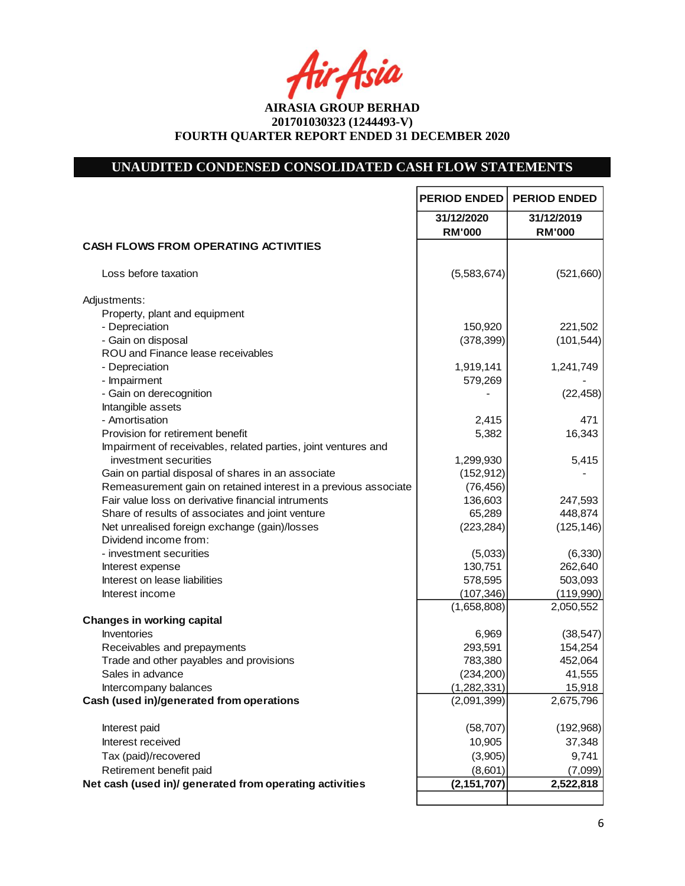fir<sub>i</sub>fsia

# **UNAUDITED CONDENSED CONSOLIDATED CASH FLOW STATEMENTS**

|                                                                 | <b>PERIOD ENDED</b>         | <b>PERIOD ENDED</b>         |
|-----------------------------------------------------------------|-----------------------------|-----------------------------|
|                                                                 | 31/12/2020<br><b>RM'000</b> | 31/12/2019<br><b>RM'000</b> |
| <b>CASH FLOWS FROM OPERATING ACTIVITIES</b>                     |                             |                             |
| Loss before taxation                                            | (5,583,674)                 | (521,660)                   |
| Adjustments:                                                    |                             |                             |
| Property, plant and equipment                                   |                             |                             |
| - Depreciation                                                  | 150,920                     | 221,502                     |
| - Gain on disposal                                              | (378, 399)                  | (101, 544)                  |
| ROU and Finance lease receivables                               |                             |                             |
| - Depreciation                                                  | 1,919,141                   | 1,241,749                   |
| - Impairment                                                    | 579,269                     |                             |
| - Gain on derecognition                                         |                             | (22, 458)                   |
| Intangible assets                                               |                             |                             |
| - Amortisation                                                  | 2,415                       | 471                         |
| Provision for retirement benefit                                | 5,382                       | 16,343                      |
| Impairment of receivables, related parties, joint ventures and  |                             |                             |
| investment securities                                           | 1,299,930                   | 5,415                       |
| Gain on partial disposal of shares in an associate              | (152, 912)                  |                             |
| Remeasurement gain on retained interest in a previous associate | (76, 456)                   |                             |
| Fair value loss on derivative financial intruments              | 136,603                     | 247,593                     |
| Share of results of associates and joint venture                | 65,289                      | 448,874                     |
| Net unrealised foreign exchange (gain)/losses                   | (223, 284)                  | (125, 146)                  |
| Dividend income from:                                           |                             |                             |
| - investment securities                                         | (5,033)                     | (6,330)                     |
| Interest expense                                                | 130,751                     | 262,640                     |
| Interest on lease liabilities                                   | 578,595                     | 503,093                     |
| Interest income                                                 | (107, 346)                  | (119,990)                   |
|                                                                 | (1,658,808)                 | 2,050,552                   |
| <b>Changes in working capital</b>                               |                             |                             |
| Inventories                                                     | 6,969                       | (38, 547)                   |
| Receivables and prepayments                                     | 293,591                     | 154,254                     |
| Trade and other payables and provisions                         | 783,380                     | 452,064                     |
| Sales in advance                                                | (234, 200)                  | 41,555                      |
| Intercompany balances                                           | (1,282,331)                 | 15,918                      |
| Cash (used in)/generated from operations                        | (2,091,399)                 | 2,675,796                   |
| Interest paid                                                   | (58, 707)                   | (192,968)                   |
| Interest received                                               | 10,905                      | 37,348                      |
| Tax (paid)/recovered                                            | (3,905)                     | 9,741                       |
| Retirement benefit paid                                         | (8,601)                     | (7,099)                     |
| Net cash (used in)/ generated from operating activities         | (2, 151, 707)               | 2,522,818                   |
|                                                                 |                             |                             |

 $\mathsf{I}$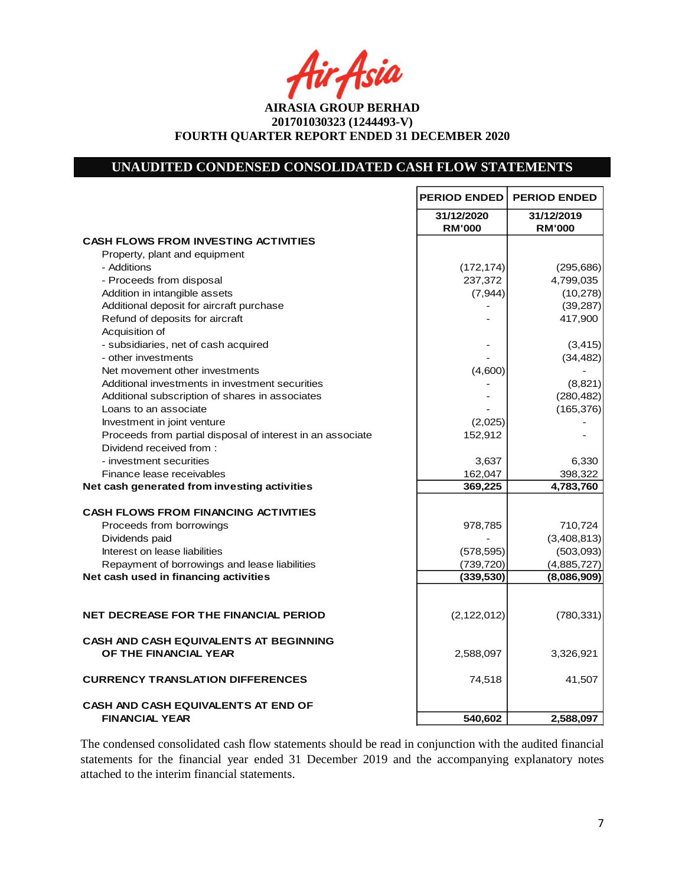Asia

**AIRASIA GROUP BERHAD 201701030323 (1244493-V) FOURTH QUARTER REPORT ENDED 31 DECEMBER 2020**

# **UNAUDITED CONDENSED CONSOLIDATED CASH FLOW STATEMENTS**

|                                                                        | <b>PERIOD ENDED</b>         | <b>PERIOD ENDED</b>         |
|------------------------------------------------------------------------|-----------------------------|-----------------------------|
|                                                                        | 31/12/2020<br><b>RM'000</b> | 31/12/2019<br><b>RM'000</b> |
| <b>CASH FLOWS FROM INVESTING ACTIVITIES</b>                            |                             |                             |
| Property, plant and equipment                                          |                             |                             |
| - Additions                                                            | (172, 174)                  | (295, 686)                  |
| - Proceeds from disposal                                               | 237,372                     | 4,799,035                   |
| Addition in intangible assets                                          | (7, 944)                    | (10, 278)                   |
| Additional deposit for aircraft purchase                               |                             | (39, 287)                   |
| Refund of deposits for aircraft                                        |                             | 417,900                     |
| Acquisition of                                                         |                             |                             |
| - subsidiaries, net of cash acquired                                   |                             | (3, 415)                    |
| - other investments                                                    |                             | (34, 482)                   |
| Net movement other investments                                         | (4,600)                     |                             |
| Additional investments in investment securities                        |                             | (8,821)                     |
| Additional subscription of shares in associates                        |                             | (280, 482)                  |
| Loans to an associate                                                  |                             | (165, 376)                  |
| Investment in joint venture                                            | (2,025)                     |                             |
| Proceeds from partial disposal of interest in an associate             | 152,912                     |                             |
| Dividend received from:                                                |                             |                             |
| - investment securities                                                | 3,637                       | 6,330                       |
| Finance lease receivables                                              | 162,047                     | 398,322                     |
| Net cash generated from investing activities                           | 369,225                     | 4,783,760                   |
| <b>CASH FLOWS FROM FINANCING ACTIVITIES</b>                            |                             |                             |
| Proceeds from borrowings                                               | 978,785                     | 710,724                     |
| Dividends paid                                                         |                             | (3,408,813)                 |
| Interest on lease liabilities                                          | (578, 595)                  | (503,093)                   |
| Repayment of borrowings and lease liabilities                          | (739, 720)                  | (4,885,727)                 |
| Net cash used in financing activities                                  | (339, 530)                  | (8,086,909)                 |
|                                                                        |                             |                             |
| <b>NET DECREASE FOR THE FINANCIAL PERIOD</b>                           | (2, 122, 012)               | (780, 331)                  |
| <b>CASH AND CASH EQUIVALENTS AT BEGINNING</b><br>OF THE FINANCIAL YEAR | 2,588,097                   | 3,326,921                   |
| <b>CURRENCY TRANSLATION DIFFERENCES</b>                                | 74,518                      | 41,507                      |
| <b>CASH AND CASH EQUIVALENTS AT END OF</b><br><b>FINANCIAL YEAR</b>    | 540,602                     | 2,588,097                   |

The condensed consolidated cash flow statements should be read in conjunction with the audited financial statements for the financial year ended 31 December 2019 and the accompanying explanatory notes attached to the interim financial statements.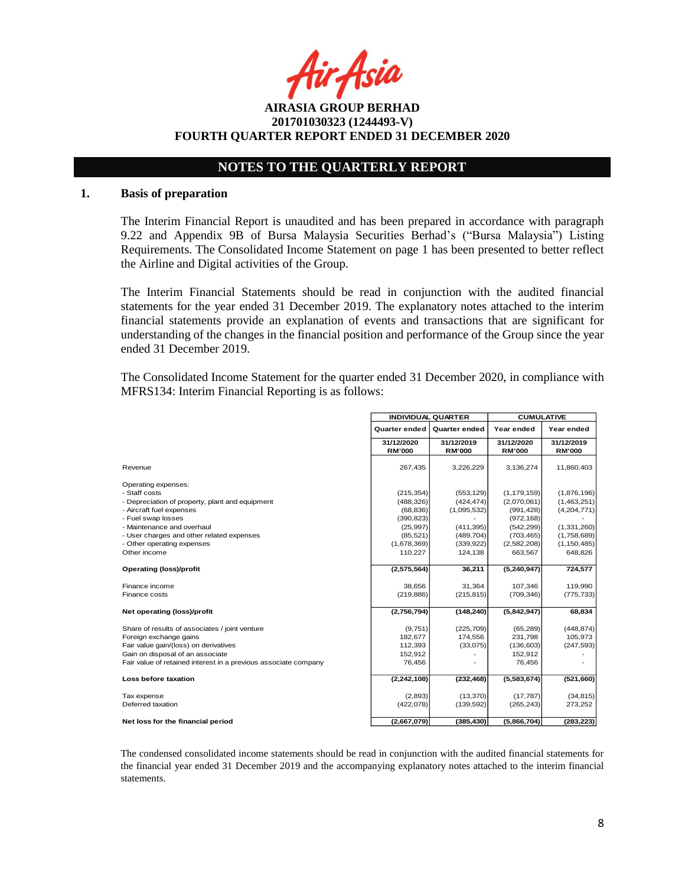Asia

**AIRASIA GROUP BERHAD 201701030323 (1244493-V) FOURTH QUARTER REPORT ENDED 31 DECEMBER 2020**

# **NOTES TO THE QUARTERLY REPORT**

#### **1. Basis of preparation**

The Interim Financial Report is unaudited and has been prepared in accordance with paragraph 9.22 and Appendix 9B of Bursa Malaysia Securities Berhad's ("Bursa Malaysia") Listing Requirements. The Consolidated Income Statement on page 1 has been presented to better reflect the Airline and Digital activities of the Group.

The Interim Financial Statements should be read in conjunction with the audited financial statements for the year ended 31 December 2019. The explanatory notes attached to the interim financial statements provide an explanation of events and transactions that are significant for understanding of the changes in the financial position and performance of the Group since the year ended 31 December 2019.

The Consolidated Income Statement for the quarter ended 31 December 2020, in compliance with MFRS134: Interim Financial Reporting is as follows:

|                                                                 | <b>INDIVIDUAL QUARTER</b>   |                             | <b>CUMULATIVE</b>           |                             |
|-----------------------------------------------------------------|-----------------------------|-----------------------------|-----------------------------|-----------------------------|
|                                                                 | <b>Quarter ended</b>        | <b>Quarter ended</b>        | Year ended                  | Year ended                  |
|                                                                 | 31/12/2020<br><b>RM'000</b> | 31/12/2019<br><b>RM'000</b> | 31/12/2020<br><b>RM'000</b> | 31/12/2019<br><b>RM'000</b> |
| Revenue                                                         | 267,435                     | 3,226,229                   | 3,136,274                   | 11,860,403                  |
| Operating expenses:                                             |                             |                             |                             |                             |
| - Staff costs                                                   | (215, 354)                  | (553, 129)                  | (1, 179, 159)               | (1,876,196)                 |
| - Depreciation of property, plant and equipment                 | (488, 326)                  | (424, 474)                  | (2,070,061)                 | (1,463,251)                 |
| - Aircraft fuel expenses                                        | (68, 836)                   | (1,095,532)                 | (991, 428)                  | (4,204,771)                 |
| - Fuel swap losses                                              | (390, 823)                  |                             | (972, 168)                  |                             |
| - Maintenance and overhaul                                      | (25, 997)                   | (411, 395)                  | (542, 299)                  | (1,331,260)                 |
| - User charges and other related expenses                       | (85, 521)                   | (489, 704)                  | (703, 465)                  | (1,758,689)                 |
| - Other operating expenses                                      | (1,678,369)                 | (339, 922)                  | (2,582,208)                 | (1, 150, 485)               |
| Other income                                                    | 110,227                     | 124,138                     | 663,567                     | 648,826                     |
| <b>Operating (loss)/profit</b>                                  | (2,575,564)                 | 36,211                      | (5,240,947)                 | 724,577                     |
| Finance income                                                  | 38.656                      | 31,364                      | 107,346                     | 119,990                     |
| Finance costs                                                   | (219, 886)                  | (215, 815)                  | (709, 346)                  | (775, 733)                  |
| Net operating (loss)/profit                                     | (2,756,794)                 | (148, 240)                  | (5,842,947)                 | 68,834                      |
| Share of results of associates / joint venture                  | (9,751)                     | (225, 709)                  | (65, 289)                   | (448, 874)                  |
| Foreign exchange gains                                          | 182.677                     | 174,556                     | 231,798                     | 105,973                     |
| Fair value gain/(loss) on derivatives                           | 112,393                     | (33,075)                    | (136, 603)                  | (247, 593)                  |
| Gain on disposal of an associate                                | 152,912                     |                             | 152,912                     |                             |
| Fair value of retained interest in a previous associate company | 76,456                      |                             | 76,456                      |                             |
| Loss before taxation                                            | (2, 242, 108)               | (232, 468)                  | (5,583,674)                 | (521,660)                   |
| Tax expense                                                     | (2,893)                     | (13, 370)                   | (17, 787)                   | (34, 815)                   |
| Deferred taxation                                               | (422,078)                   | (139, 592)                  | (265, 243)                  | 273,252                     |
| Net loss for the financial period                               | (2,667,079)                 | (385, 430)                  | (5,866,704)                 | (283, 223)                  |

The condensed consolidated income statements should be read in conjunction with the audited financial statements for the financial year ended 31 December 2019 and the accompanying explanatory notes attached to the interim financial statements.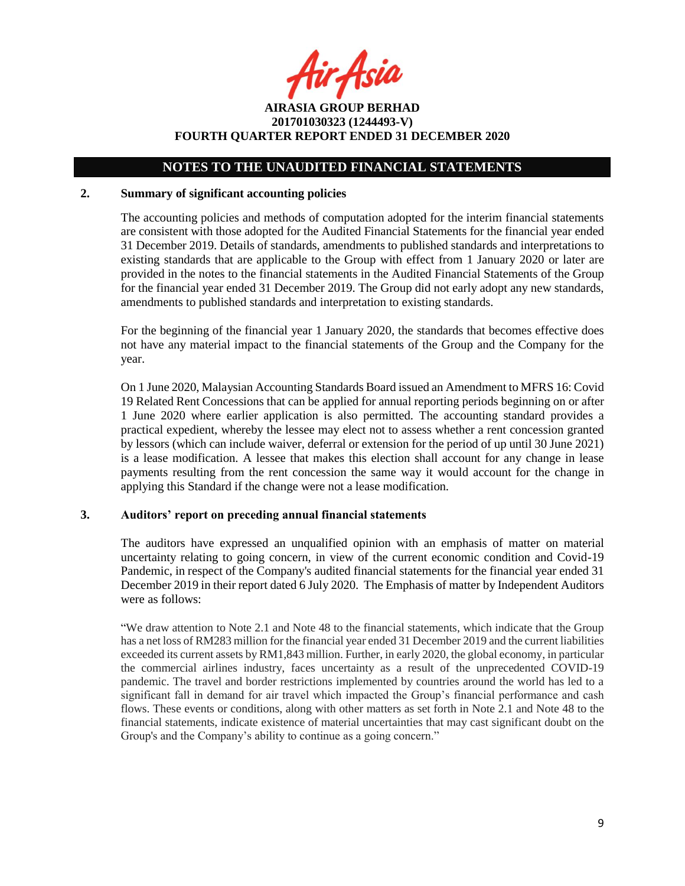fir<sub>t</sub>Asia

**AIRASIA GROUP BERHAD 201701030323 (1244493-V) FOURTH QUARTER REPORT ENDED 31 DECEMBER 2020**

# **NOTES TO THE UNAUDITED FINANCIAL STATEMENTS**

#### **2. Summary of significant accounting policies**

The accounting policies and methods of computation adopted for the interim financial statements are consistent with those adopted for the Audited Financial Statements for the financial year ended 31 December 2019. Details of standards, amendments to published standards and interpretations to existing standards that are applicable to the Group with effect from 1 January 2020 or later are provided in the notes to the financial statements in the Audited Financial Statements of the Group for the financial year ended 31 December 2019. The Group did not early adopt any new standards, amendments to published standards and interpretation to existing standards.

For the beginning of the financial year 1 January 2020, the standards that becomes effective does not have any material impact to the financial statements of the Group and the Company for the year.

On 1 June 2020, Malaysian Accounting Standards Board issued an Amendment to MFRS 16: Covid 19 Related Rent Concessions that can be applied for annual reporting periods beginning on or after 1 June 2020 where earlier application is also permitted. The accounting standard provides a practical expedient, whereby the lessee may elect not to assess whether a rent concession granted by lessors (which can include waiver, deferral or extension for the period of up until 30 June 2021) is a lease modification. A lessee that makes this election shall account for any change in lease payments resulting from the rent concession the same way it would account for the change in applying this Standard if the change were not a lease modification.

#### **3. Auditors' report on preceding annual financial statements**

The auditors have expressed an unqualified opinion with an emphasis of matter on material uncertainty relating to going concern, in view of the current economic condition and Covid-19 Pandemic, in respect of the Company's audited financial statements for the financial year ended 31 December 2019 in their report dated 6 July 2020. The Emphasis of matter by Independent Auditors were as follows:

"We draw attention to Note 2.1 and Note 48 to the financial statements, which indicate that the Group has a net loss of RM283 million for the financial year ended 31 December 2019 and the current liabilities exceeded its current assets by RM1,843 million. Further, in early 2020, the global economy, in particular the commercial airlines industry, faces uncertainty as a result of the unprecedented COVID-19 pandemic. The travel and border restrictions implemented by countries around the world has led to a significant fall in demand for air travel which impacted the Group's financial performance and cash flows. These events or conditions, along with other matters as set forth in Note 2.1 and Note 48 to the financial statements, indicate existence of material uncertainties that may cast significant doubt on the Group's and the Company's ability to continue as a going concern."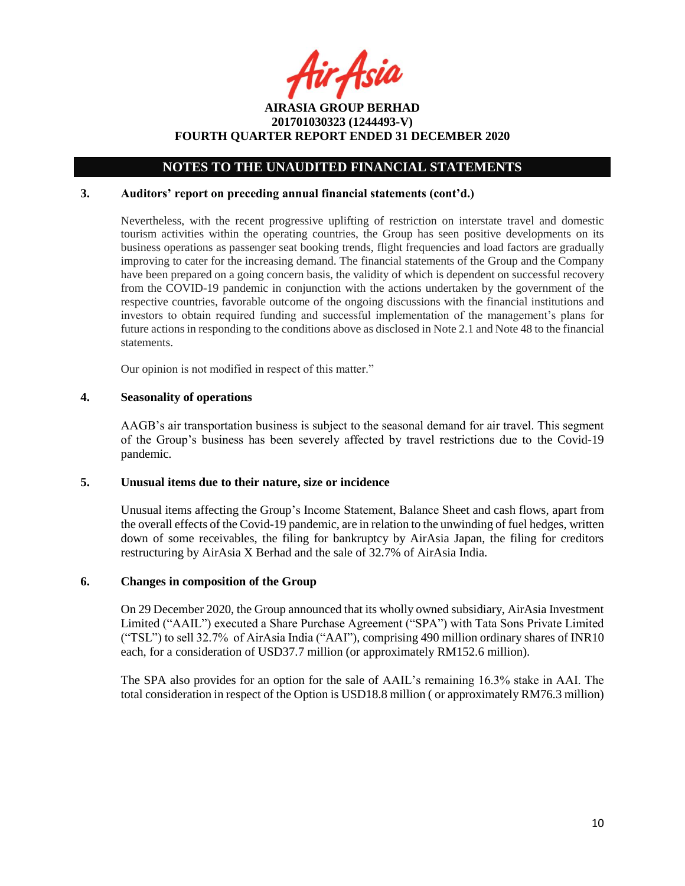fir<sub>t</sub>Asid

# **NOTES TO THE UNAUDITED FINANCIAL STATEMENTS**

### **3. Auditors' report on preceding annual financial statements (cont'd.)**

Nevertheless, with the recent progressive uplifting of restriction on interstate travel and domestic tourism activities within the operating countries, the Group has seen positive developments on its business operations as passenger seat booking trends, flight frequencies and load factors are gradually improving to cater for the increasing demand. The financial statements of the Group and the Company have been prepared on a going concern basis, the validity of which is dependent on successful recovery from the COVID-19 pandemic in conjunction with the actions undertaken by the government of the respective countries, favorable outcome of the ongoing discussions with the financial institutions and investors to obtain required funding and successful implementation of the management's plans for future actions in responding to the conditions above as disclosed in Note 2.1 and Note 48 to the financial statements.

Our opinion is not modified in respect of this matter."

## **4. Seasonality of operations**

AAGB's air transportation business is subject to the seasonal demand for air travel. This segment of the Group's business has been severely affected by travel restrictions due to the Covid-19 pandemic.

#### **5. Unusual items due to their nature, size or incidence**

Unusual items affecting the Group's Income Statement, Balance Sheet and cash flows, apart from the overall effects of the Covid-19 pandemic, are in relation to the unwinding of fuel hedges, written down of some receivables, the filing for bankruptcy by AirAsia Japan, the filing for creditors restructuring by AirAsia X Berhad and the sale of 32.7% of AirAsia India.

# **6. Changes in composition of the Group**

On 29 December 2020, the Group announced that its wholly owned subsidiary, AirAsia Investment Limited ("AAIL") executed a Share Purchase Agreement ("SPA") with Tata Sons Private Limited ("TSL") to sell 32.7% of AirAsia India ("AAI"), comprising 490 million ordinary shares of INR10 each, for a consideration of USD37.7 million (or approximately RM152.6 million).

The SPA also provides for an option for the sale of AAIL's remaining 16.3% stake in AAI. The total consideration in respect of the Option is USD18.8 million ( or approximately RM76.3 million)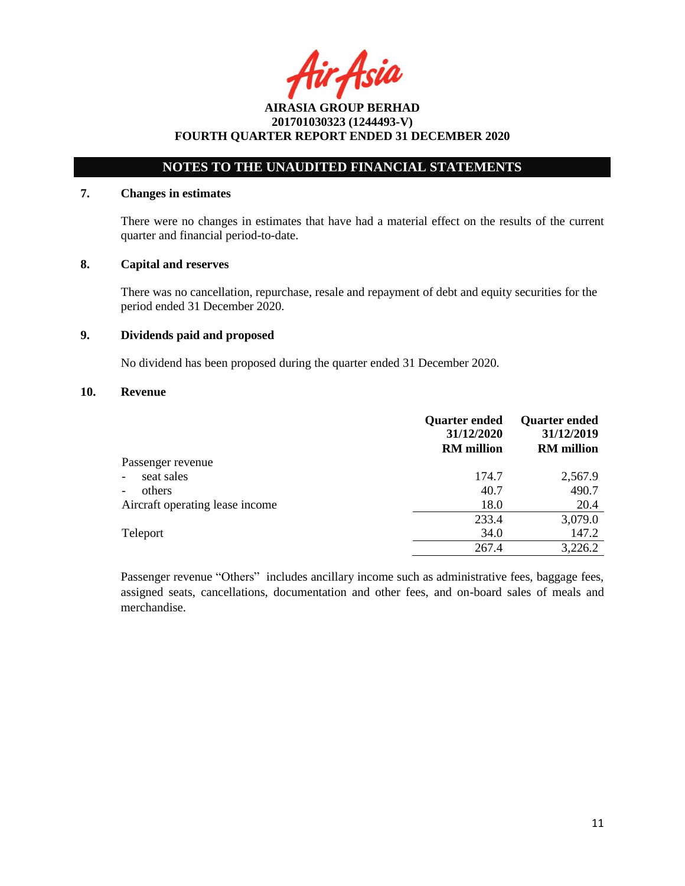Asia

# **NOTES TO THE UNAUDITED FINANCIAL STATEMENTS**

## **7. Changes in estimates**

There were no changes in estimates that have had a material effect on the results of the current quarter and financial period-to-date.

### **8. Capital and reserves**

There was no cancellation, repurchase, resale and repayment of debt and equity securities for the period ended 31 December 2020.

### **9. Dividends paid and proposed**

No dividend has been proposed during the quarter ended 31 December 2020.

### **10. Revenue**

|                                    | <b>Quarter ended</b><br>31/12/2020<br><b>RM</b> million | <b>Quarter ended</b><br>31/12/2019<br><b>RM</b> million |
|------------------------------------|---------------------------------------------------------|---------------------------------------------------------|
| Passenger revenue                  |                                                         |                                                         |
| seat sales<br>$\overline{a}$       | 174.7                                                   | 2,567.9                                                 |
| others<br>$\overline{\phantom{0}}$ | 40.7                                                    | 490.7                                                   |
| Aircraft operating lease income    | 18.0                                                    | 20.4                                                    |
|                                    | 233.4                                                   | 3,079.0                                                 |
| Teleport                           | 34.0                                                    | 147.2                                                   |
|                                    | 267.4                                                   | 3,226.2                                                 |

Passenger revenue "Others" includes ancillary income such as administrative fees, baggage fees, assigned seats, cancellations, documentation and other fees, and on-board sales of meals and merchandise.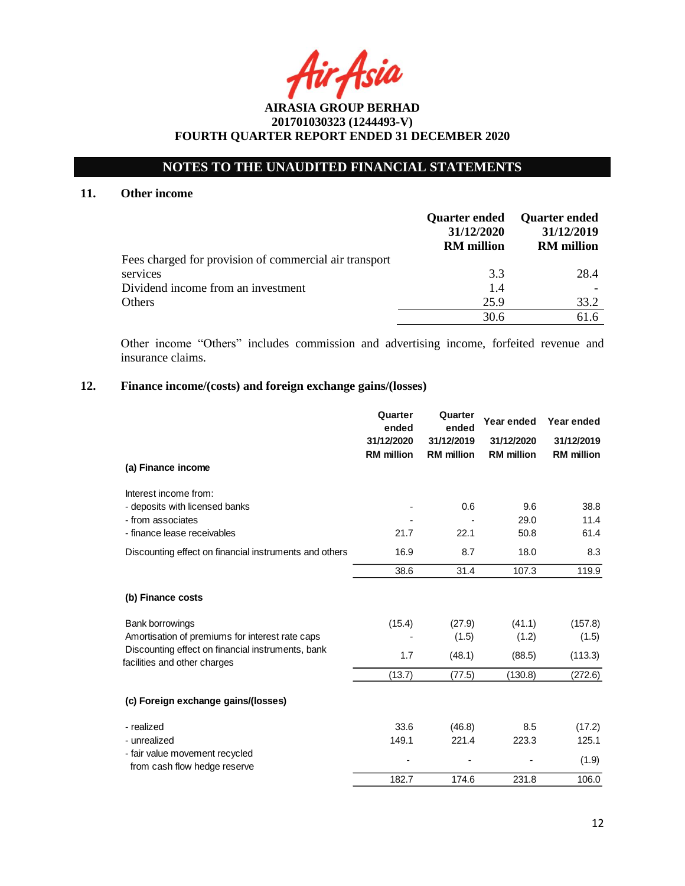# **NOTES TO THE UNAUDITED FINANCIAL STATEMENTS**

## **11. Other income**

|                                                        | <b>Quarter ended</b><br>31/12/2020<br><b>RM</b> million | <b>Quarter ended</b><br>31/12/2019<br><b>RM</b> million |
|--------------------------------------------------------|---------------------------------------------------------|---------------------------------------------------------|
| Fees charged for provision of commercial air transport |                                                         |                                                         |
| services                                               | 3.3                                                     | 28.4                                                    |
| Dividend income from an investment                     | 1.4                                                     |                                                         |
| Others                                                 | 25.9                                                    | 33.2                                                    |
|                                                        | 30.6                                                    | 61.6                                                    |

Other income "Others" includes commission and advertising income, forfeited revenue and insurance claims.

# **12. Finance income/(costs) and foreign exchange gains/(losses)**

|                                                                                   | Quarter<br>ended<br>31/12/2020<br><b>RM</b> million | Quarter<br>ended<br>31/12/2019<br><b>RM</b> million | Year ended<br>31/12/2020<br><b>RM</b> million | Year ended<br>31/12/2019<br><b>RM</b> million |
|-----------------------------------------------------------------------------------|-----------------------------------------------------|-----------------------------------------------------|-----------------------------------------------|-----------------------------------------------|
| (a) Finance income                                                                |                                                     |                                                     |                                               |                                               |
| Interest income from:<br>- deposits with licensed banks                           |                                                     | 0.6                                                 | 9.6                                           | 38.8                                          |
| - from associates<br>- finance lease receivables                                  | 21.7                                                | 22.1                                                | 29.0<br>50.8                                  | 11.4<br>61.4                                  |
| Discounting effect on financial instruments and others                            | 16.9                                                | 8.7                                                 | 18.0                                          | 8.3                                           |
|                                                                                   | 38.6                                                | 31.4                                                | 107.3                                         | 119.9                                         |
| (b) Finance costs                                                                 |                                                     |                                                     |                                               |                                               |
| <b>Bank borrowings</b><br>Amortisation of premiums for interest rate caps         | (15.4)                                              | (27.9)<br>(1.5)                                     | (41.1)<br>(1.2)                               | (157.8)<br>(1.5)                              |
| Discounting effect on financial instruments, bank<br>facilities and other charges | 1.7                                                 | (48.1)                                              | (88.5)                                        | (113.3)                                       |
|                                                                                   | (13.7)                                              | (77.5)                                              | (130.8)                                       | (272.6)                                       |
| (c) Foreign exchange gains/(losses)                                               |                                                     |                                                     |                                               |                                               |
| - realized<br>- unrealized                                                        | 33.6<br>149.1                                       | (46.8)<br>221.4                                     | 8.5<br>223.3                                  | (17.2)<br>125.1                               |
| - fair value movement recycled<br>from cash flow hedge reserve                    |                                                     |                                                     |                                               | (1.9)                                         |
|                                                                                   | 182.7                                               | 174.6                                               | 231.8                                         | 106.0                                         |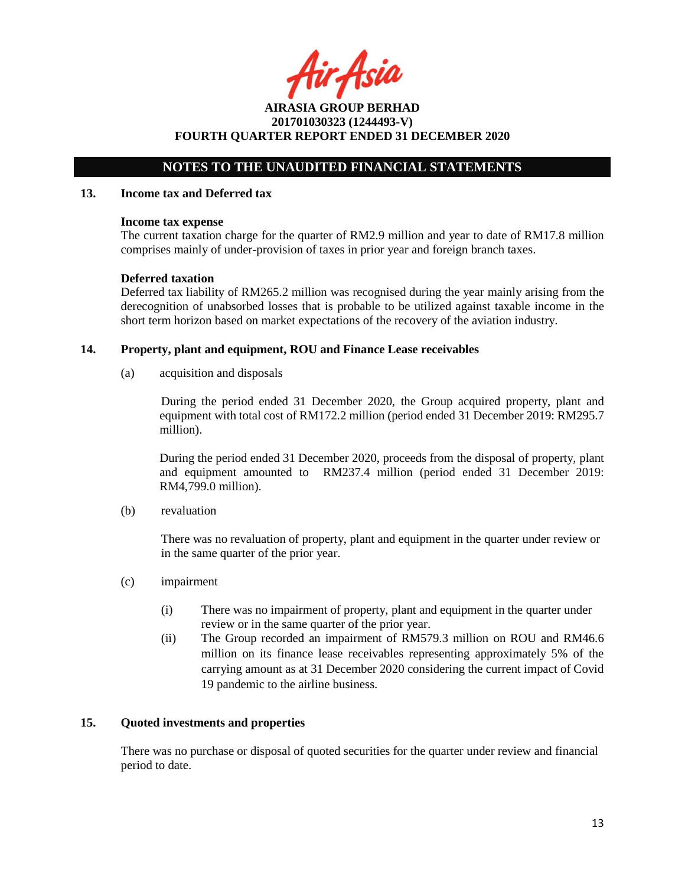tir Asia

**AIRASIA GROUP BERHAD 201701030323 (1244493-V) FOURTH QUARTER REPORT ENDED 31 DECEMBER 2020**

# **NOTES TO THE UNAUDITED FINANCIAL STATEMENTS**

#### **13. Income tax and Deferred tax**

#### **Income tax expense**

The current taxation charge for the quarter of RM2.9 million and year to date of RM17.8 million comprises mainly of under-provision of taxes in prior year and foreign branch taxes.

### **Deferred taxation**

Deferred tax liability of RM265.2 million was recognised during the year mainly arising from the derecognition of unabsorbed losses that is probable to be utilized against taxable income in the short term horizon based on market expectations of the recovery of the aviation industry.

### **14. Property, plant and equipment, ROU and Finance Lease receivables**

(a) acquisition and disposals

During the period ended 31 December 2020, the Group acquired property, plant and equipment with total cost of RM172.2 million (period ended 31 December 2019: RM295.7 million).

During the period ended 31 December 2020, proceeds from the disposal of property, plant and equipment amounted to RM237.4 million (period ended 31 December 2019: RM4,799.0 million).

(b) revaluation

There was no revaluation of property, plant and equipment in the quarter under review or in the same quarter of the prior year.

- (c) impairment
	- (i) There was no impairment of property, plant and equipment in the quarter under review or in the same quarter of the prior year.
	- (ii) The Group recorded an impairment of RM579.3 million on ROU and RM46.6 million on its finance lease receivables representing approximately 5% of the carrying amount as at 31 December 2020 considering the current impact of Covid 19 pandemic to the airline business.

# **15. Quoted investments and properties**

There was no purchase or disposal of quoted securities for the quarter under review and financial period to date.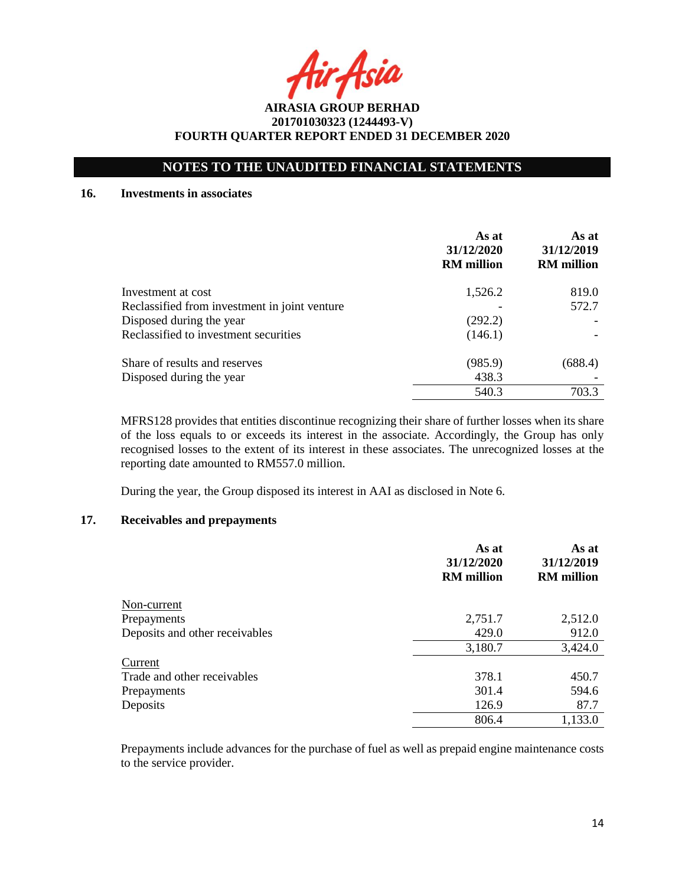Asia

# **NOTES TO THE UNAUDITED FINANCIAL STATEMENTS**

#### **16. Investments in associates**

|                                               | As at<br>31/12/2020<br><b>RM</b> million | As at<br>31/12/2019<br><b>RM</b> million |
|-----------------------------------------------|------------------------------------------|------------------------------------------|
| Investment at cost                            | 1,526.2                                  | 819.0                                    |
| Reclassified from investment in joint venture |                                          | 572.7                                    |
| Disposed during the year                      | (292.2)                                  |                                          |
| Reclassified to investment securities         | (146.1)                                  |                                          |
| Share of results and reserves                 | (985.9)                                  | (688.4)                                  |
| Disposed during the year                      | 438.3                                    |                                          |
|                                               | 540.3                                    | 703.3                                    |

MFRS128 provides that entities discontinue recognizing their share of further losses when its share of the loss equals to or exceeds its interest in the associate. Accordingly, the Group has only recognised losses to the extent of its interest in these associates. The unrecognized losses at the reporting date amounted to RM557.0 million.

During the year, the Group disposed its interest in AAI as disclosed in Note 6.

# **17. Receivables and prepayments**

|                                | As at<br>31/12/2020<br><b>RM</b> million | As at<br>31/12/2019<br><b>RM</b> million |
|--------------------------------|------------------------------------------|------------------------------------------|
| Non-current                    |                                          |                                          |
| Prepayments                    | 2,751.7                                  | 2,512.0                                  |
| Deposits and other receivables | 429.0                                    | 912.0                                    |
|                                | 3,180.7                                  | 3,424.0                                  |
| Current                        |                                          |                                          |
| Trade and other receivables    | 378.1                                    | 450.7                                    |
| Prepayments                    | 301.4                                    | 594.6                                    |
| Deposits                       | 126.9                                    | 87.7                                     |
|                                | 806.4                                    | 1,133.0                                  |

Prepayments include advances for the purchase of fuel as well as prepaid engine maintenance costs to the service provider.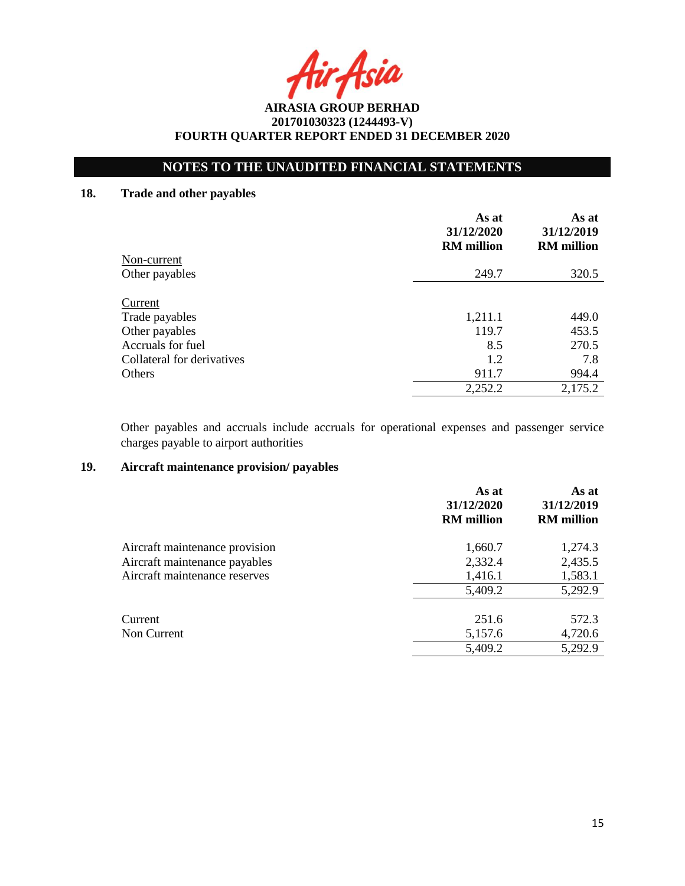# **NOTES TO THE UNAUDITED FINANCIAL STATEMENTS**

# **18. Trade and other payables**

|                            | As at<br>31/12/2020<br><b>RM</b> million | As at<br>31/12/2019<br><b>RM</b> million |
|----------------------------|------------------------------------------|------------------------------------------|
| Non-current                |                                          |                                          |
| Other payables             | 249.7                                    | 320.5                                    |
| Current                    |                                          |                                          |
| Trade payables             | 1,211.1                                  | 449.0                                    |
| Other payables             | 119.7                                    | 453.5                                    |
| Accruals for fuel          | 8.5                                      | 270.5                                    |
| Collateral for derivatives | 1.2                                      | 7.8                                      |
| Others                     | 911.7                                    | 994.4                                    |
|                            | 2,252.2                                  | 2,175.2                                  |

Other payables and accruals include accruals for operational expenses and passenger service charges payable to airport authorities

## **19. Aircraft maintenance provision/ payables**

| As at<br>31/12/2020<br><b>RM</b> million | As at<br>31/12/2019<br><b>RM</b> million |
|------------------------------------------|------------------------------------------|
| 1,660.7                                  | 1,274.3                                  |
| 2,332.4                                  | 2,435.5                                  |
| 1,416.1                                  | 1,583.1                                  |
| 5,409.2                                  | 5,292.9                                  |
| 251.6                                    | 572.3                                    |
| 5,157.6                                  | 4,720.6                                  |
| 5,409.2                                  | 5,292.9                                  |
|                                          |                                          |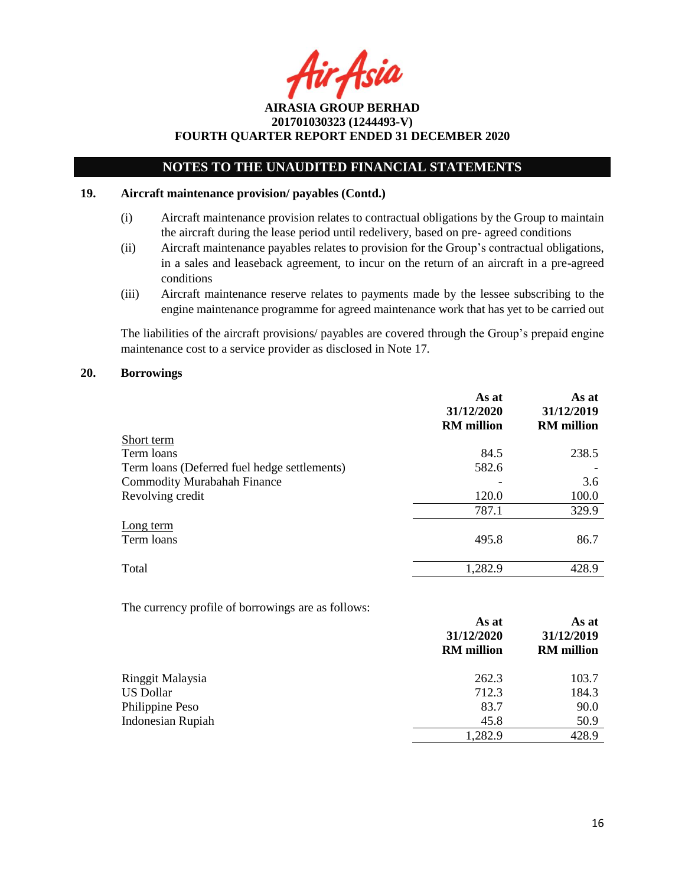Asia

# **NOTES TO THE UNAUDITED FINANCIAL STATEMENTS**

#### **19. Aircraft maintenance provision/ payables (Contd.)**

- (i) Aircraft maintenance provision relates to contractual obligations by the Group to maintain the aircraft during the lease period until redelivery, based on pre- agreed conditions
- (ii) Aircraft maintenance payables relates to provision for the Group's contractual obligations, in a sales and leaseback agreement, to incur on the return of an aircraft in a pre-agreed conditions
- (iii) Aircraft maintenance reserve relates to payments made by the lessee subscribing to the engine maintenance programme for agreed maintenance work that has yet to be carried out

The liabilities of the aircraft provisions/ payables are covered through the Group's prepaid engine maintenance cost to a service provider as disclosed in Note 17.

#### **20. Borrowings**

|                                              | As at<br>31/12/2020<br><b>RM</b> million | As at<br>31/12/2019<br><b>RM</b> million |
|----------------------------------------------|------------------------------------------|------------------------------------------|
| Short term                                   |                                          |                                          |
| Term loans                                   | 84.5                                     | 238.5                                    |
| Term loans (Deferred fuel hedge settlements) | 582.6                                    |                                          |
| <b>Commodity Murabahah Finance</b>           |                                          | 3.6                                      |
| Revolving credit                             | 120.0                                    | 100.0                                    |
|                                              | 787.1                                    | 329.9                                    |
| Long term                                    |                                          |                                          |
| Term loans                                   | 495.8                                    | 86.7                                     |
| Total                                        | 1,282.9                                  | 428.9                                    |

The currency profile of borrowings are as follows:

|                          | As at<br>31/12/2020<br><b>RM</b> million | As at<br>31/12/2019<br><b>RM</b> million |
|--------------------------|------------------------------------------|------------------------------------------|
| Ringgit Malaysia         | 262.3                                    | 103.7                                    |
| <b>US Dollar</b>         | 712.3                                    | 184.3                                    |
| Philippine Peso          | 83.7                                     | 90.0                                     |
| <b>Indonesian Rupiah</b> | 45.8                                     | 50.9                                     |
|                          | 1,282.9                                  | 428.9                                    |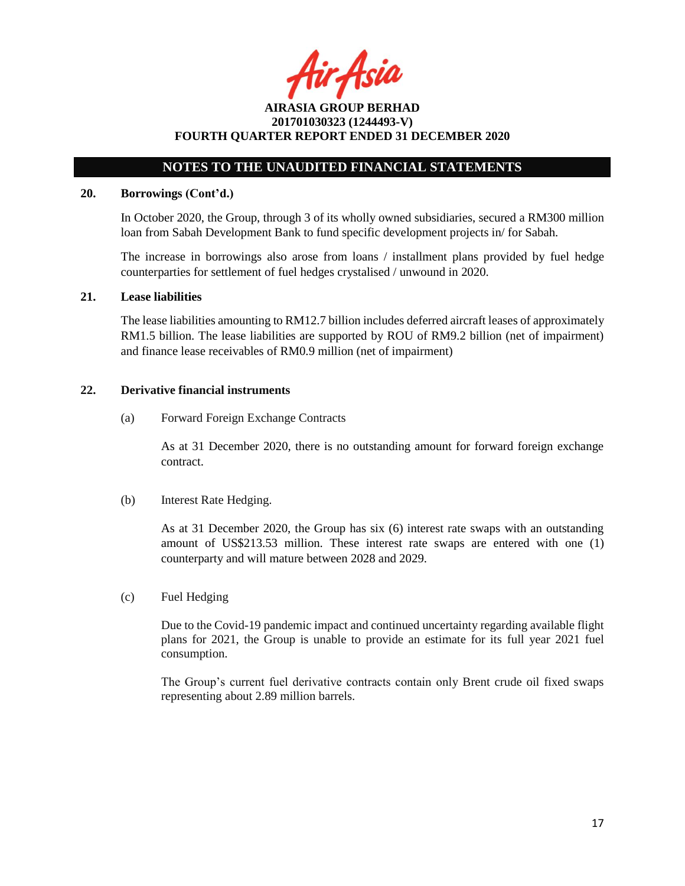fir Asia

**AIRASIA GROUP BERHAD 201701030323 (1244493-V) FOURTH QUARTER REPORT ENDED 31 DECEMBER 2020**

# **NOTES TO THE UNAUDITED FINANCIAL STATEMENTS**

#### **20. Borrowings (Cont'd.)**

In October 2020, the Group, through 3 of its wholly owned subsidiaries, secured a RM300 million loan from Sabah Development Bank to fund specific development projects in/ for Sabah.

The increase in borrowings also arose from loans / installment plans provided by fuel hedge counterparties for settlement of fuel hedges crystalised / unwound in 2020.

#### **21. Lease liabilities**

The lease liabilities amounting to RM12.7 billion includes deferred aircraft leases of approximately RM1.5 billion. The lease liabilities are supported by ROU of RM9.2 billion (net of impairment) and finance lease receivables of RM0.9 million (net of impairment)

#### **22. Derivative financial instruments**

(a) Forward Foreign Exchange Contracts

As at 31 December 2020, there is no outstanding amount for forward foreign exchange contract.

(b) Interest Rate Hedging.

As at 31 December 2020, the Group has six (6) interest rate swaps with an outstanding amount of US\$213.53 million. These interest rate swaps are entered with one (1) counterparty and will mature between 2028 and 2029.

(c) Fuel Hedging

Due to the Covid-19 pandemic impact and continued uncertainty regarding available flight plans for 2021, the Group is unable to provide an estimate for its full year 2021 fuel consumption.

The Group's current fuel derivative contracts contain only Brent crude oil fixed swaps representing about 2.89 million barrels.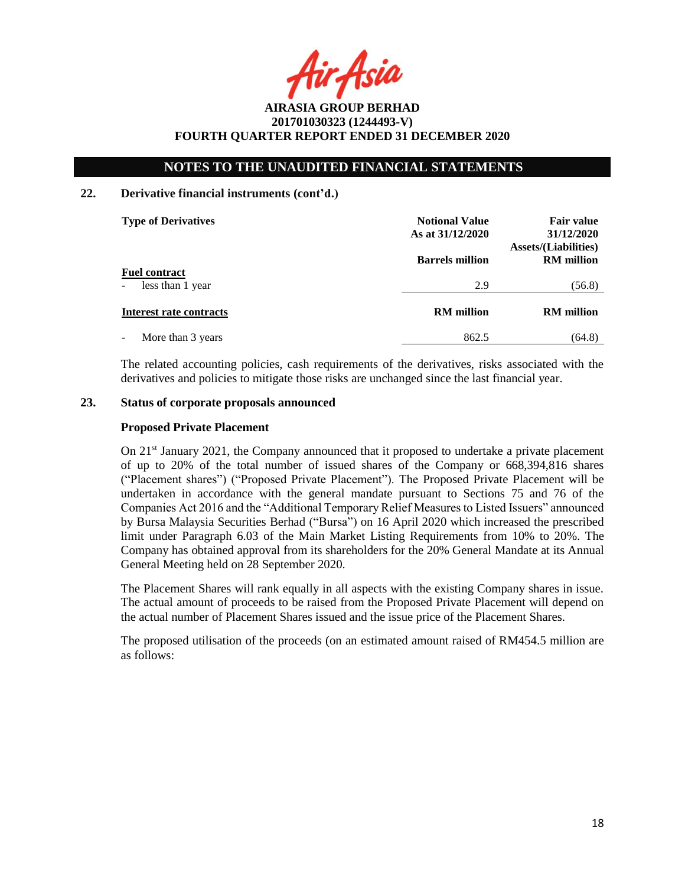ir Asia

# **NOTES TO THE UNAUDITED FINANCIAL STATEMENTS**

# **22. Derivative financial instruments (cont'd.)**

| <b>Type of Derivatives</b> | <b>Notional Value</b><br>As at 31/12/2020 | <b>Fair value</b><br>31/12/2020<br><b>Assets/(Liabilities)</b> |  |
|----------------------------|-------------------------------------------|----------------------------------------------------------------|--|
|                            | <b>Barrels million</b>                    | <b>RM</b> million                                              |  |
| <b>Fuel contract</b>       |                                           |                                                                |  |
| less than 1 year<br>$\sim$ | 2.9                                       | (56.8)                                                         |  |
| Interest rate contracts    | <b>RM</b> million                         | <b>RM</b> million                                              |  |
| More than 3 years          | 862.5                                     | (64.8)                                                         |  |

The related accounting policies, cash requirements of the derivatives, risks associated with the derivatives and policies to mitigate those risks are unchanged since the last financial year.

### **23. Status of corporate proposals announced**

#### **Proposed Private Placement**

On  $21<sup>st</sup>$  January 2021, the Company announced that it proposed to undertake a private placement of up to 20% of the total number of issued shares of the Company or 668,394,816 shares ("Placement shares") ("Proposed Private Placement"). The Proposed Private Placement will be undertaken in accordance with the general mandate pursuant to Sections 75 and 76 of the Companies Act 2016 and the "Additional Temporary Relief Measures to Listed Issuers" announced by Bursa Malaysia Securities Berhad ("Bursa") on 16 April 2020 which increased the prescribed limit under Paragraph 6.03 of the Main Market Listing Requirements from 10% to 20%. The Company has obtained approval from its shareholders for the 20% General Mandate at its Annual General Meeting held on 28 September 2020.

The Placement Shares will rank equally in all aspects with the existing Company shares in issue. The actual amount of proceeds to be raised from the Proposed Private Placement will depend on the actual number of Placement Shares issued and the issue price of the Placement Shares.

The proposed utilisation of the proceeds (on an estimated amount raised of RM454.5 million are as follows: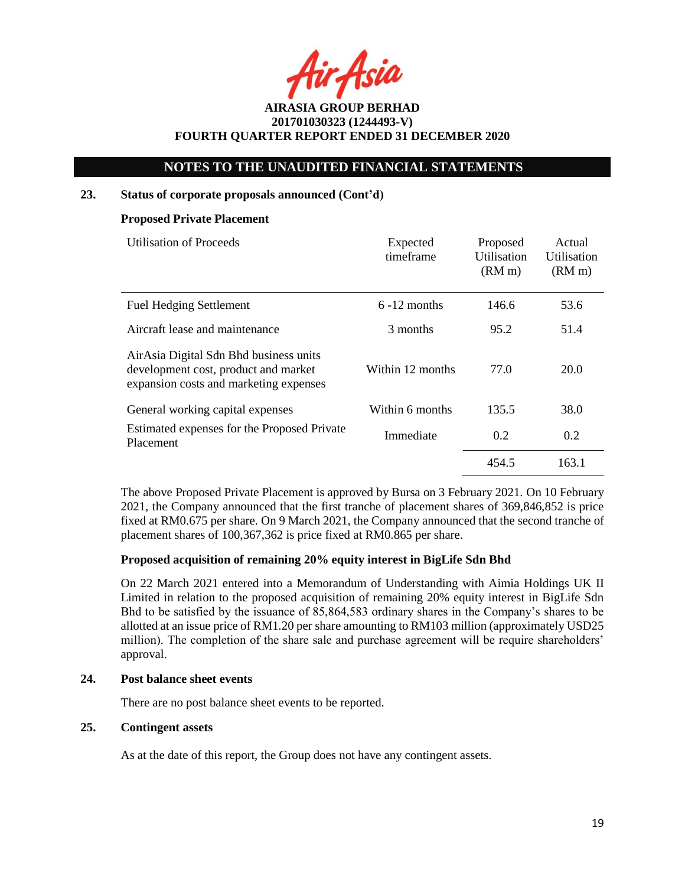ir Asia

# **NOTES TO THE UNAUDITED FINANCIAL STATEMENTS**

#### **23. Status of corporate proposals announced (Cont'd)**

#### **Proposed Private Placement**

| <b>Utilisation of Proceeds</b>                                                                                           | Expected<br>timeframe |       | Actual<br>Utilisation<br>(RM <sub>m</sub> ) |
|--------------------------------------------------------------------------------------------------------------------------|-----------------------|-------|---------------------------------------------|
| <b>Fuel Hedging Settlement</b>                                                                                           | $6 - 12$ months       | 146.6 | 53.6                                        |
| Aircraft lease and maintenance                                                                                           | 3 months              | 95.2  | 51.4                                        |
| AirAsia Digital Sdn Bhd business units<br>development cost, product and market<br>expansion costs and marketing expenses | Within 12 months      | 77.0  | 20.0                                        |
| General working capital expenses                                                                                         | Within 6 months       | 135.5 | 38.0                                        |
| Estimated expenses for the Proposed Private<br>Placement                                                                 | Immediate             | 0.2   | 0.2                                         |
|                                                                                                                          |                       | 454.5 | 163.1                                       |

The above Proposed Private Placement is approved by Bursa on 3 February 2021. On 10 February 2021, the Company announced that the first tranche of placement shares of 369,846,852 is price fixed at RM0.675 per share. On 9 March 2021, the Company announced that the second tranche of placement shares of 100,367,362 is price fixed at RM0.865 per share.

### **Proposed acquisition of remaining 20% equity interest in BigLife Sdn Bhd**

On 22 March 2021 entered into a Memorandum of Understanding with Aimia Holdings UK II Limited in relation to the proposed acquisition of remaining 20% equity interest in BigLife Sdn Bhd to be satisfied by the issuance of 85,864,583 ordinary shares in the Company's shares to be allotted at an issue price of RM1.20 per share amounting to RM103 million (approximately USD25 million). The completion of the share sale and purchase agreement will be require shareholders' approval.

## **24. Post balance sheet events**

There are no post balance sheet events to be reported.

# **25. Contingent assets**

As at the date of this report, the Group does not have any contingent assets.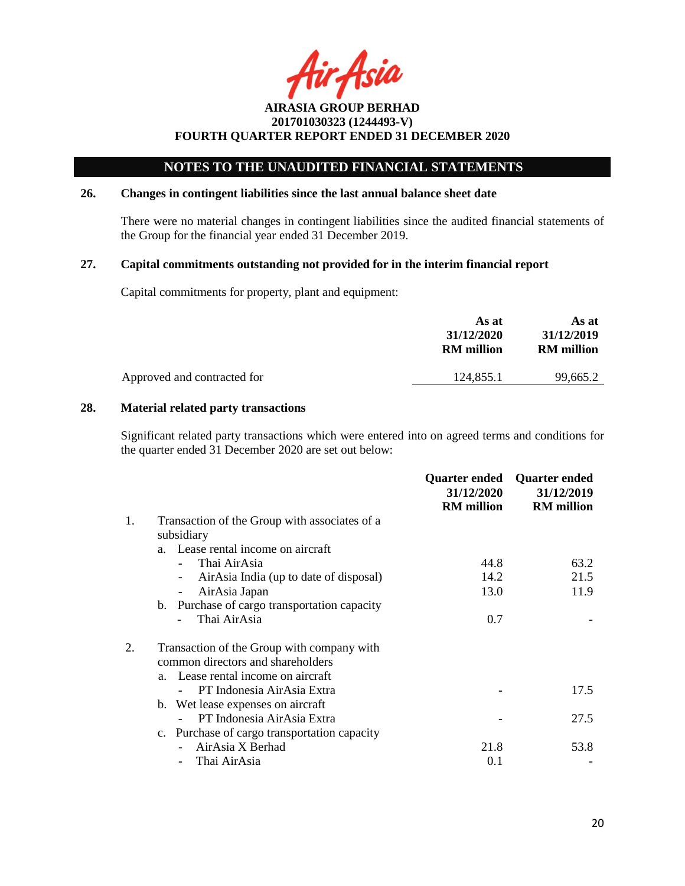Asia

# **NOTES TO THE UNAUDITED FINANCIAL STATEMENTS**

### **26. Changes in contingent liabilities since the last annual balance sheet date**

There were no material changes in contingent liabilities since the audited financial statements of the Group for the financial year ended 31 December 2019.

### **27. Capital commitments outstanding not provided for in the interim financial report**

Capital commitments for property, plant and equipment:

|                             | As at<br>31/12/2020<br><b>RM</b> million | As at<br>31/12/2019<br><b>RM</b> million |
|-----------------------------|------------------------------------------|------------------------------------------|
| Approved and contracted for | 124.855.1                                | 99.665.2                                 |
|                             |                                          |                                          |

# **28. Material related party transactions**

Significant related party transactions which were entered into on agreed terms and conditions for the quarter ended 31 December 2020 are set out below:

|    |                                                                    | Quarter ended<br>31/12/2020<br><b>RM</b> million | <b>Quarter ended</b><br>31/12/2019<br><b>RM</b> million |
|----|--------------------------------------------------------------------|--------------------------------------------------|---------------------------------------------------------|
| 1. | Transaction of the Group with associates of a<br>subsidiary        |                                                  |                                                         |
|    | a. Lease rental income on aircraft                                 |                                                  |                                                         |
|    | Thai AirAsia                                                       | 44.8                                             | 63.2                                                    |
|    | AirAsia India (up to date of disposal)<br>$\overline{\phantom{a}}$ | 14.2                                             | 21.5                                                    |
|    | AirAsia Japan<br>-                                                 | 13.0                                             | 11.9                                                    |
|    | b. Purchase of cargo transportation capacity                       |                                                  |                                                         |
|    | Thai AirAsia                                                       | 0.7                                              |                                                         |
|    | Transaction of the Group with company with                         |                                                  |                                                         |
|    | common directors and shareholders                                  |                                                  |                                                         |
|    | a. Lease rental income on aircraft                                 |                                                  |                                                         |
|    | PT Indonesia AirAsia Extra                                         |                                                  | 17.5                                                    |
|    | b. Wet lease expenses on aircraft                                  |                                                  |                                                         |
|    | PT Indonesia AirAsia Extra                                         |                                                  | 27.5                                                    |
|    | c. Purchase of cargo transportation capacity                       |                                                  |                                                         |
|    | AirAsia X Berhad                                                   | 21.8                                             | 53.8                                                    |
|    | Thai AirAsia                                                       | 0.1                                              |                                                         |
|    |                                                                    |                                                  |                                                         |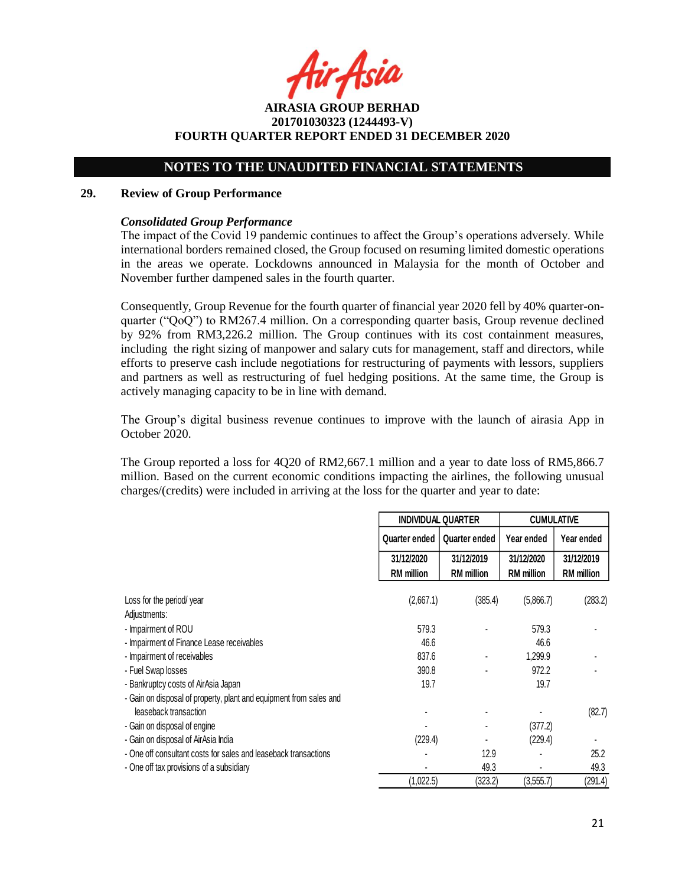Asia

**AIRASIA GROUP BERHAD 201701030323 (1244493-V) FOURTH QUARTER REPORT ENDED 31 DECEMBER 2020**

# **NOTES TO THE UNAUDITED FINANCIAL STATEMENTS**

#### **29. Review of Group Performance**

#### *Consolidated Group Performance*

The impact of the Covid 19 pandemic continues to affect the Group's operations adversely. While international borders remained closed, the Group focused on resuming limited domestic operations in the areas we operate. Lockdowns announced in Malaysia for the month of October and November further dampened sales in the fourth quarter.

Consequently, Group Revenue for the fourth quarter of financial year 2020 fell by 40% quarter-onquarter ("QoQ") to RM267.4 million. On a corresponding quarter basis, Group revenue declined by 92% from RM3,226.2 million. The Group continues with its cost containment measures, including the right sizing of manpower and salary cuts for management, staff and directors, while efforts to preserve cash include negotiations for restructuring of payments with lessors, suppliers and partners as well as restructuring of fuel hedging positions. At the same time, the Group is actively managing capacity to be in line with demand.

The Group's digital business revenue continues to improve with the launch of airasia App in October 2020.

The Group reported a loss for 4Q20 of RM2,667.1 million and a year to date loss of RM5,866.7 million. Based on the current economic conditions impacting the airlines, the following unusual charges/(credits) were included in arriving at the loss for the quarter and year to date:

|                                                                    |                   | <b>INDIVIDUAL QUARTER</b> |                   | <b>CUMULATIVE</b> |
|--------------------------------------------------------------------|-------------------|---------------------------|-------------------|-------------------|
|                                                                    | Quarter ended     | Quarter ended             | Year ended        | Year ended        |
|                                                                    | 31/12/2020        | 31/12/2019                | 31/12/2020        | 31/12/2019        |
|                                                                    | <b>RM</b> million | <b>RM</b> million         | <b>RM</b> million | <b>RM</b> million |
| Loss for the period/year                                           | (2,667.1)         | (385.4)                   | (5,866.7)         | (283.2)           |
| Adjustments:                                                       |                   |                           |                   |                   |
| - Impairment of ROU                                                | 579.3             |                           | 579.3             |                   |
| - Impairment of Finance Lease receivables                          | 46.6              |                           | 46.6              |                   |
| - Impairment of receivables                                        | 837.6             |                           | 1,299.9           |                   |
| - Fuel Swap losses                                                 | 390.8             |                           | 972.2             |                   |
| - Bankruptcy costs of AirAsia Japan                                | 19.7              |                           | 19.7              |                   |
| - Gain on disposal of property, plant and equipment from sales and |                   |                           |                   |                   |
| leaseback transaction                                              |                   |                           |                   | (82.7)            |
| - Gain on disposal of engine                                       |                   |                           | (377.2)           |                   |
| - Gain on disposal of AirAsia India                                | (229.4)           |                           | (229.4)           |                   |
| - One off consultant costs for sales and leaseback transactions    |                   | 12.9                      |                   | 25.2              |
| - One off tax provisions of a subsidiary                           |                   | 49.3                      |                   | 49.3              |
|                                                                    | (1,022.5)         | (323.2)                   | (3,555.7)         | (291.4)           |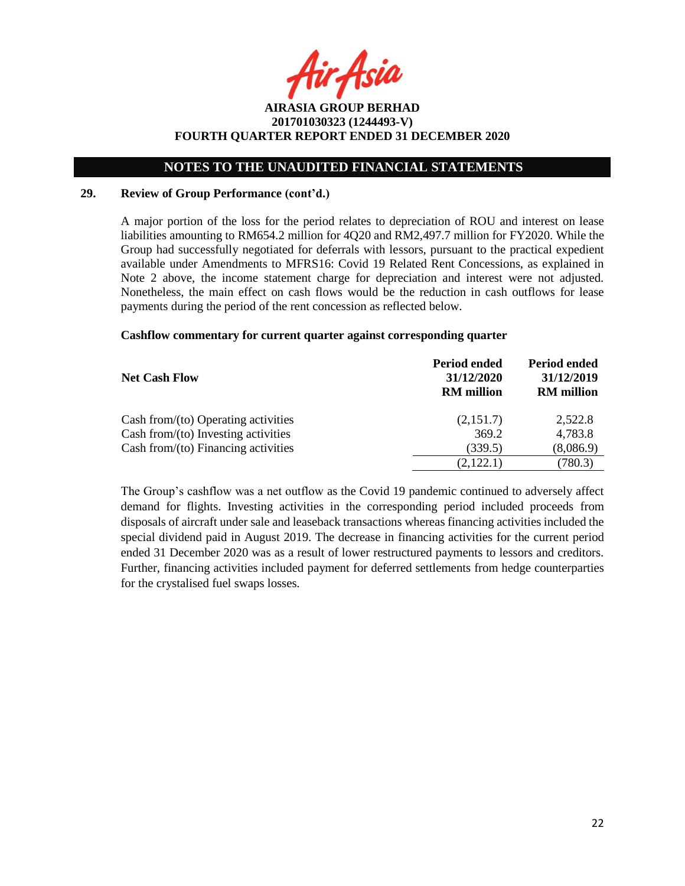# **NOTES TO THE UNAUDITED FINANCIAL STATEMENTS**

### **29. Review of Group Performance (cont'd.)**

A major portion of the loss for the period relates to depreciation of ROU and interest on lease liabilities amounting to RM654.2 million for 4Q20 and RM2,497.7 million for FY2020. While the Group had successfully negotiated for deferrals with lessors, pursuant to the practical expedient available under Amendments to MFRS16: Covid 19 Related Rent Concessions, as explained in Note 2 above, the income statement charge for depreciation and interest were not adjusted. Nonetheless, the main effect on cash flows would be the reduction in cash outflows for lease payments during the period of the rent concession as reflected below.

### **Cashflow commentary for current quarter against corresponding quarter**

| <b>Net Cash Flow</b>                   | <b>Period ended</b><br>31/12/2020<br><b>RM</b> million | <b>Period ended</b><br>31/12/2019<br><b>RM</b> million |  |
|----------------------------------------|--------------------------------------------------------|--------------------------------------------------------|--|
| Cash from/ $(to)$ Operating activities | (2,151.7)                                              | 2,522.8                                                |  |
| Cash from/(to) Investing activities    | 369.2                                                  | 4,783.8                                                |  |
| Cash from/ $(to)$ Financing activities | (339.5)                                                | (8,086.9)                                              |  |
|                                        | (2,122.1)                                              | (780.3)                                                |  |

The Group's cashflow was a net outflow as the Covid 19 pandemic continued to adversely affect demand for flights. Investing activities in the corresponding period included proceeds from disposals of aircraft under sale and leaseback transactions whereas financing activities included the special dividend paid in August 2019. The decrease in financing activities for the current period ended 31 December 2020 was as a result of lower restructured payments to lessors and creditors. Further, financing activities included payment for deferred settlements from hedge counterparties for the crystalised fuel swaps losses.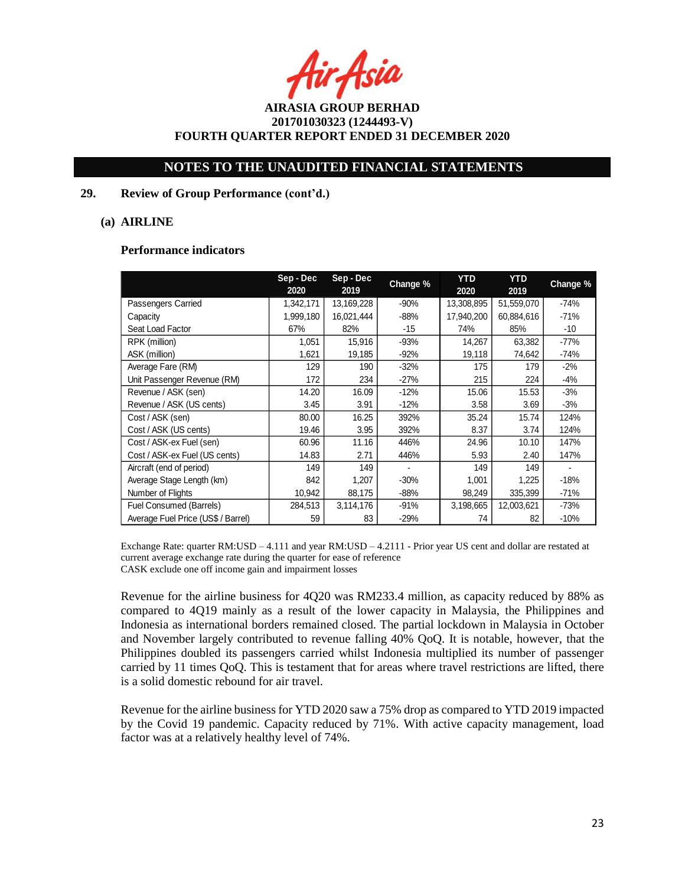r Asia

# **NOTES TO THE UNAUDITED FINANCIAL STATEMENTS**

## **29. Review of Group Performance (cont'd.)**

## **(a) AIRLINE**

#### **Performance indicators**

|                                    | Sep-Dec<br>2020 | Sep - Dec<br>2019 | Change % | <b>YTD</b><br>2020 | <b>YTD</b><br>2019 | Change % |
|------------------------------------|-----------------|-------------------|----------|--------------------|--------------------|----------|
| Passengers Carried                 | 1,342,171       | 13,169,228        | $-90%$   | 13,308,895         | 51,559,070         | $-74%$   |
| Capacity                           | 1,999,180       | 16,021,444        | $-88%$   | 17,940,200         | 60,884,616         | $-71%$   |
| Seat Load Factor                   | 67%             | 82%               | $-15$    | 74%                | 85%                | $-10$    |
| RPK (million)                      | 1,051           | 15,916            | $-93%$   | 14,267             | 63,382             | -77%     |
| ASK (million)                      | 1,621           | 19,185            | $-92%$   | 19,118             | 74,642             | $-74%$   |
| Average Fare (RM)                  | 129             | 190               | $-32%$   | 175                | 179                | $-2%$    |
| Unit Passenger Revenue (RM)        | 172             | 234               | $-27%$   | 215                | 224                | $-4%$    |
| Revenue / ASK (sen)                | 14.20           | 16.09             | $-12%$   | 15.06              | 15.53              | $-3%$    |
| Revenue / ASK (US cents)           | 3.45            | 3.91              | $-12%$   | 3.58               | 3.69               | $-3%$    |
| Cost / ASK (sen)                   | 80.00           | 16.25             | 392%     | 35.24              | 15.74              | 124%     |
| Cost / ASK (US cents)              | 19.46           | 3.95              | 392%     | 8.37               | 3.74               | 124%     |
| Cost / ASK-ex Fuel (sen)           | 60.96           | 11.16             | 446%     | 24.96              | 10.10              | 147%     |
| Cost / ASK-ex Fuel (US cents)      | 14.83           | 2.71              | 446%     | 5.93               | 2.40               | 147%     |
| Aircraft (end of period)           | 149             | 149               |          | 149                | 149                |          |
| Average Stage Length (km)          | 842             | 1,207             | $-30%$   | 1,001              | 1,225              | -18%     |
| Number of Flights                  | 10,942          | 88,175            | $-88%$   | 98,249             | 335,399            | $-71%$   |
| Fuel Consumed (Barrels)            | 284,513         | 3,114,176         | $-91%$   | 3,198,665          | 12,003,621         | -73%     |
| Average Fuel Price (US\$ / Barrel) | 59              | 83                | $-29%$   | 74                 | 82                 | $-10%$   |

Exchange Rate: quarter RM:USD – 4.111 and year RM:USD – 4.2111 - Prior year US cent and dollar are restated at current average exchange rate during the quarter for ease of reference CASK exclude one off income gain and impairment losses

Revenue for the airline business for 4Q20 was RM233.4 million, as capacity reduced by 88% as compared to 4Q19 mainly as a result of the lower capacity in Malaysia, the Philippines and Indonesia as international borders remained closed. The partial lockdown in Malaysia in October and November largely contributed to revenue falling 40% QoQ. It is notable, however, that the Philippines doubled its passengers carried whilst Indonesia multiplied its number of passenger carried by 11 times QoQ. This is testament that for areas where travel restrictions are lifted, there is a solid domestic rebound for air travel.

Revenue for the airline business for YTD 2020 saw a 75% drop as compared to YTD 2019 impacted by the Covid 19 pandemic. Capacity reduced by 71%. With active capacity management, load factor was at a relatively healthy level of 74%.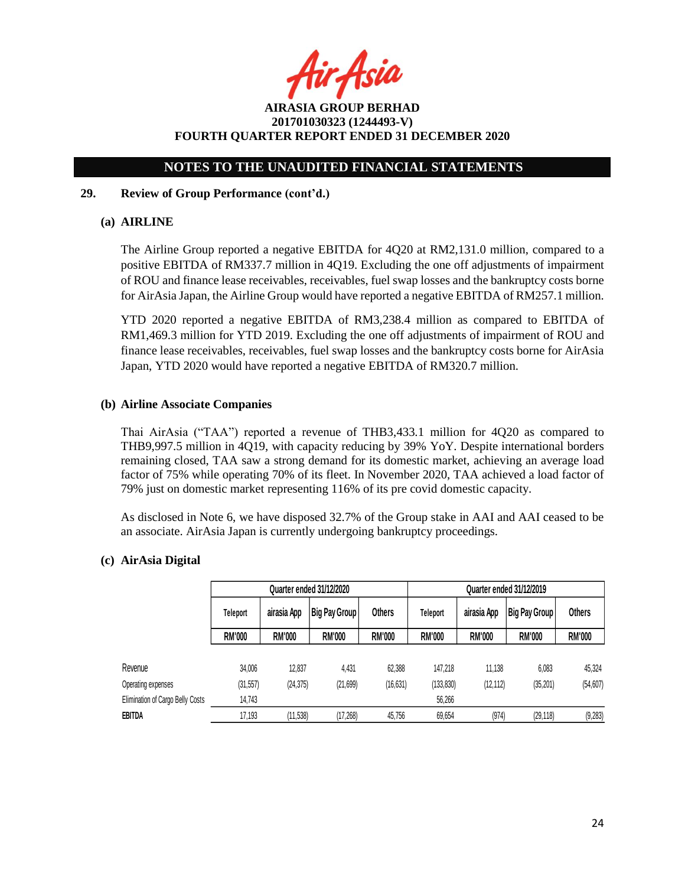fir Asia

# **NOTES TO THE UNAUDITED FINANCIAL STATEMENTS**

# **29. Review of Group Performance (cont'd.)**

# **(a) AIRLINE**

The Airline Group reported a negative EBITDA for 4Q20 at RM2,131.0 million, compared to a positive EBITDA of RM337.7 million in 4Q19. Excluding the one off adjustments of impairment of ROU and finance lease receivables, receivables, fuel swap losses and the bankruptcy costs borne for AirAsia Japan, the Airline Group would have reported a negative EBITDA of RM257.1 million.

YTD 2020 reported a negative EBITDA of RM3,238.4 million as compared to EBITDA of RM1,469.3 million for YTD 2019. Excluding the one off adjustments of impairment of ROU and finance lease receivables, receivables, fuel swap losses and the bankruptcy costs borne for AirAsia Japan, YTD 2020 would have reported a negative EBITDA of RM320.7 million.

# **(b) Airline Associate Companies**

Thai AirAsia ("TAA") reported a revenue of THB3,433.1 million for 4Q20 as compared to THB9,997.5 million in 4Q19, with capacity reducing by 39% YoY. Despite international borders remaining closed, TAA saw a strong demand for its domestic market, achieving an average load factor of 75% while operating 70% of its fleet. In November 2020, TAA achieved a load factor of 79% just on domestic market representing 116% of its pre covid domestic capacity.

As disclosed in Note 6, we have disposed 32.7% of the Group stake in AAI and AAI ceased to be an associate. AirAsia Japan is currently undergoing bankruptcy proceedings.

# **(c) AirAsia Digital**

|                                  |               |               | Quarter ended 31/12/2020 |               | Quarter ended 31/12/2019 |               |                      |               |
|----------------------------------|---------------|---------------|--------------------------|---------------|--------------------------|---------------|----------------------|---------------|
|                                  | Teleport      | airasia App   | <b>Big Pay Group</b>     | Others        | <b>Teleport</b>          | airasia App   | <b>Big Pay Group</b> | <b>Others</b> |
|                                  | <b>RM'000</b> | <b>RM'000</b> | <b>RM'000</b>            | <b>RM'000</b> | <b>RM'000</b>            | <b>RM'000</b> | <b>RM'000</b>        | <b>RM'000</b> |
|                                  |               |               |                          |               |                          |               |                      |               |
| Revenue                          | 34,006        | 12.837        | 4.431                    | 62,388        | 147.218                  | 11.138        | 6,083                | 45.324        |
| Operating expenses               | (31, 557)     | (24, 375)     | (21, 699)                | (16, 631)     | (133, 830)               | (12, 112)     | (35, 201)            | (54, 607)     |
| Elimination of Cargo Belly Costs | 14,743        |               |                          |               | 56,266                   |               |                      |               |
| EBITDA                           | 17,193        | (11, 538)     | (17,268)                 | 45,756        | 69,654                   | (974)         | (29, 118)            | (9, 283)      |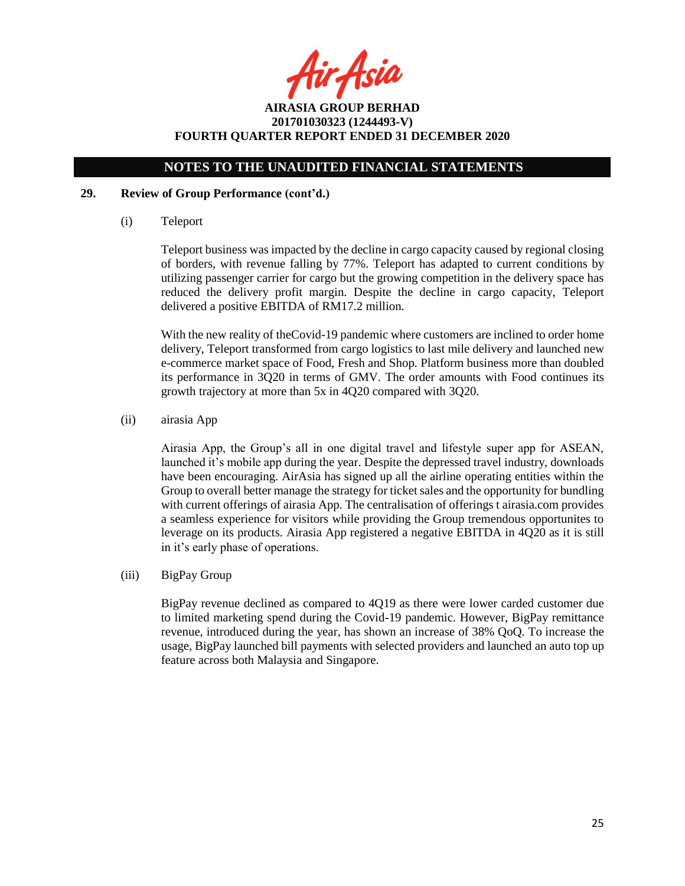4ir Asia

# **NOTES TO THE UNAUDITED FINANCIAL STATEMENTS**

## **29. Review of Group Performance (cont'd.)**

(i) Teleport

Teleport business was impacted by the decline in cargo capacity caused by regional closing of borders, with revenue falling by 77%. Teleport has adapted to current conditions by utilizing passenger carrier for cargo but the growing competition in the delivery space has reduced the delivery profit margin. Despite the decline in cargo capacity, Teleport delivered a positive EBITDA of RM17.2 million.

With the new reality of theCovid-19 pandemic where customers are inclined to order home delivery, Teleport transformed from cargo logistics to last mile delivery and launched new e-commerce market space of Food, Fresh and Shop. Platform business more than doubled its performance in 3Q20 in terms of GMV. The order amounts with Food continues its growth trajectory at more than 5x in 4Q20 compared with 3Q20.

(ii) airasia App

Airasia App, the Group's all in one digital travel and lifestyle super app for ASEAN, launched it's mobile app during the year. Despite the depressed travel industry, downloads have been encouraging. AirAsia has signed up all the airline operating entities within the Group to overall better manage the strategy for ticket sales and the opportunity for bundling with current offerings of airasia App. The centralisation of offerings t airasia.com provides a seamless experience for visitors while providing the Group tremendous opportunites to leverage on its products. Airasia App registered a negative EBITDA in 4Q20 as it is still in it's early phase of operations.

(iii) BigPay Group

BigPay revenue declined as compared to 4Q19 as there were lower carded customer due to limited marketing spend during the Covid-19 pandemic. However, BigPay remittance revenue, introduced during the year, has shown an increase of 38% QoQ. To increase the usage, BigPay launched bill payments with selected providers and launched an auto top up feature across both Malaysia and Singapore.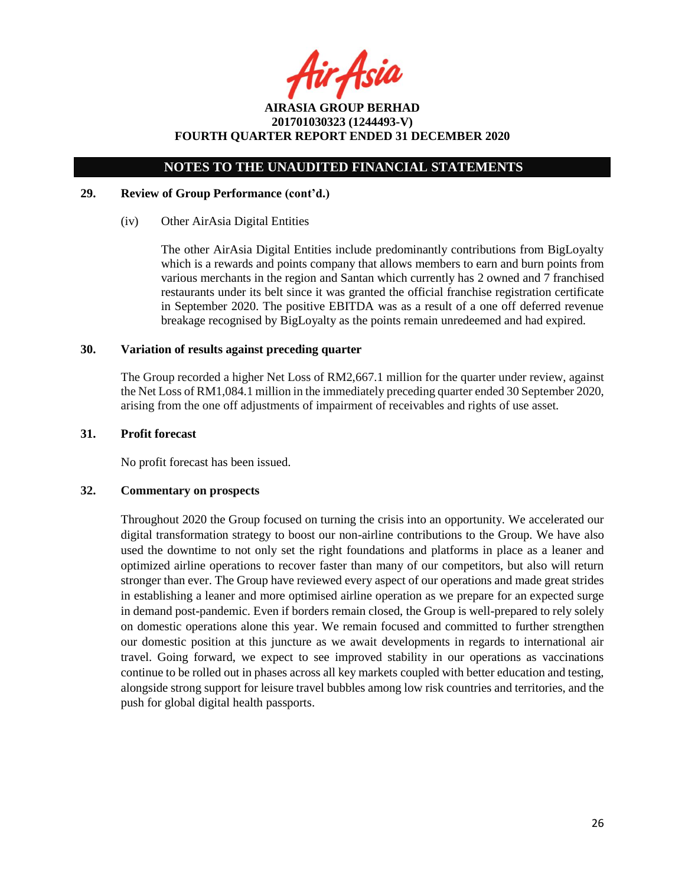fir Asia

# **NOTES TO THE UNAUDITED FINANCIAL STATEMENTS**

## **29. Review of Group Performance (cont'd.)**

# (iv) Other AirAsia Digital Entities

The other AirAsia Digital Entities include predominantly contributions from BigLoyalty which is a rewards and points company that allows members to earn and burn points from various merchants in the region and Santan which currently has 2 owned and 7 franchised restaurants under its belt since it was granted the official franchise registration certificate in September 2020. The positive EBITDA was as a result of a one off deferred revenue breakage recognised by BigLoyalty as the points remain unredeemed and had expired.

### **30. Variation of results against preceding quarter**

The Group recorded a higher Net Loss of RM2,667.1 million for the quarter under review, against the Net Loss of RM1,084.1 million in the immediately preceding quarter ended 30 September 2020, arising from the one off adjustments of impairment of receivables and rights of use asset.

### **31. Profit forecast**

No profit forecast has been issued.

#### **32. Commentary on prospects**

Throughout 2020 the Group focused on turning the crisis into an opportunity. We accelerated our digital transformation strategy to boost our non-airline contributions to the Group. We have also used the downtime to not only set the right foundations and platforms in place as a leaner and optimized airline operations to recover faster than many of our competitors, but also will return stronger than ever. The Group have reviewed every aspect of our operations and made great strides in establishing a leaner and more optimised airline operation as we prepare for an expected surge in demand post-pandemic. Even if borders remain closed, the Group is well-prepared to rely solely on domestic operations alone this year. We remain focused and committed to further strengthen our domestic position at this juncture as we await developments in regards to international air travel. Going forward, we expect to see improved stability in our operations as vaccinations continue to be rolled out in phases across all key markets coupled with better education and testing, alongside strong support for leisure travel bubbles among low risk countries and territories, and the push for global digital health passports.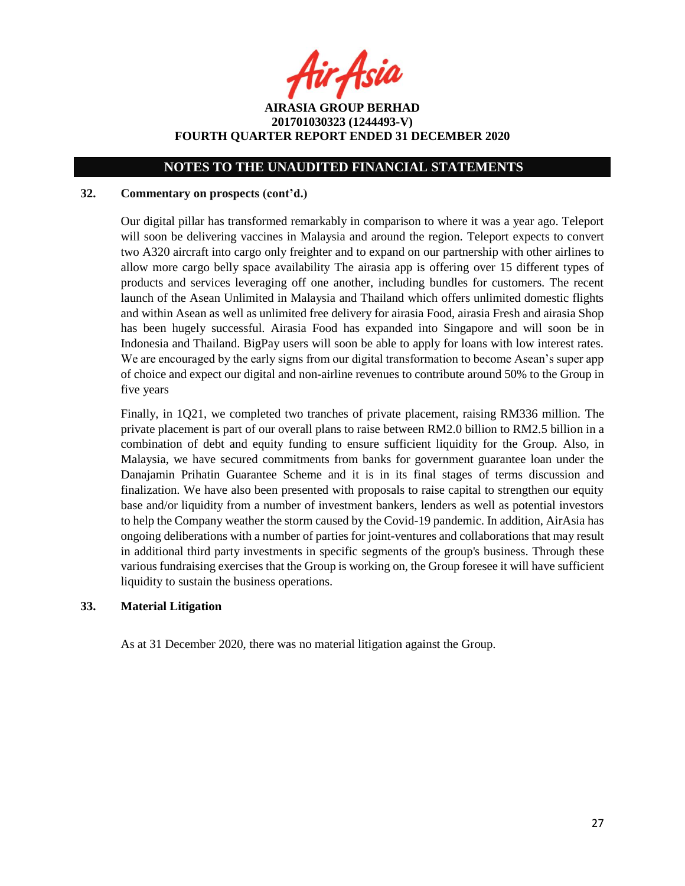fir Asia

**AIRASIA GROUP BERHAD 201701030323 (1244493-V) FOURTH QUARTER REPORT ENDED 31 DECEMBER 2020**

# **NOTES TO THE UNAUDITED FINANCIAL STATEMENTS**

### **32. Commentary on prospects (cont'd.)**

Our digital pillar has transformed remarkably in comparison to where it was a year ago. Teleport will soon be delivering vaccines in Malaysia and around the region. Teleport expects to convert two A320 aircraft into cargo only freighter and to expand on our partnership with other airlines to allow more cargo belly space availability The airasia app is offering over 15 different types of products and services leveraging off one another, including bundles for customers. The recent launch of the Asean Unlimited in Malaysia and Thailand which offers unlimited domestic flights and within Asean as well as unlimited free delivery for airasia Food, airasia Fresh and airasia Shop has been hugely successful. Airasia Food has expanded into Singapore and will soon be in Indonesia and Thailand. BigPay users will soon be able to apply for loans with low interest rates. We are encouraged by the early signs from our digital transformation to become Asean's super app of choice and expect our digital and non-airline revenues to contribute around 50% to the Group in five years

Finally, in 1Q21, we completed two tranches of private placement, raising RM336 million. The private placement is part of our overall plans to raise between RM2.0 billion to RM2.5 billion in a combination of debt and equity funding to ensure sufficient liquidity for the Group. Also, in Malaysia, we have secured commitments from banks for government guarantee loan under the Danajamin Prihatin Guarantee Scheme and it is in its final stages of terms discussion and finalization. We have also been presented with proposals to raise capital to strengthen our equity base and/or liquidity from a number of investment bankers, lenders as well as potential investors to help the Company weather the storm caused by the Covid-19 pandemic. In addition, AirAsia has ongoing deliberations with a number of parties for joint-ventures and collaborations that may result in additional third party investments in specific segments of the group's business. Through these various fundraising exercises that the Group is working on, the Group foresee it will have sufficient liquidity to sustain the business operations.

# **33. Material Litigation**

As at 31 December 2020, there was no material litigation against the Group.